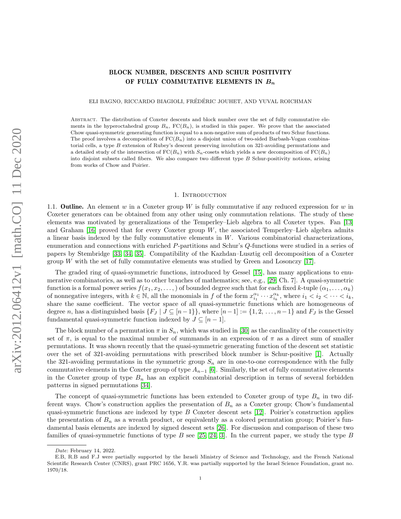# BLOCK NUMBER, DESCENTS AND SCHUR POSITIVITY OF FULLY COMMUTATIVE ELEMENTS IN  $B_n$

ELI BAGNO, RICCARDO BIAGIOLI, FRÉDÉRIC JOUHET, AND YUVAL ROICHMAN

Abstract. The distribution of Coxeter descents and block number over the set of fully commutative elements in the hyperoctahedral group  $B_n$ ,  $FC(B_n)$ , is studied in this paper. We prove that the associated Chow quasi-symmetric generating function is equal to a non-negative sum of products of two Schur functions. The proof involves a decomposition of  $FC(B_n)$  into a disjoint union of two-sided Barbash-Vogan combinatorial cells, a type B extension of Rubey's descent preserving involution on 321-avoiding permutations and a detailed study of the intersection of  $FC(B_n)$  with  $S_n$ -cosets which yields a new decomposition of  $FC(B_n)$ into disjoint subsets called fibers. We also compare two different type B Schur-positivity notions, arising from works of Chow and Poirier.

#### 1. INTRODUCTION

1.1. **Outline.** An element w in a Coxeter group W is fully commutative if any reduced expression for w in Coxeter generators can be obtained from any other using only commutation relations. The study of these elements was motivated by generalizations of the Temperley–Lieb algebra to all Coxeter types. Fan [\[13\]](#page-24-0) and Graham  $[16]$  proved that for every Coxeter group W, the associated Temperley–Lieb algebra admits a linear basis indexed by the fully commutative elements in  $W$ . Various combinatorial characterizations, enumeration and connections with enriched P-partitions and Schur's Q-functions were studied in a series of papers by Stembridge [\[33,](#page-24-2) [34,](#page-24-3) [35\]](#page-24-4). Compatibility of the Kazhdan–Lusztig cell decomposition of a Coxeter group W with the set of fully commutative elements was studied by Green and Losonczy  $[17]$ .

The graded ring of quasi-symmetric functions, introduced by Gessel [\[15\]](#page-24-6), has many applications to enumerative combinatorics, as well as to other branches of mathematics; see, e.g., [\[29,](#page-24-7) Ch. 7]. A quasi-symmetric function is a formal power series  $f(x_1, x_2, \ldots)$  of bounded degree such that for each fixed k-tuple  $(\alpha_1, \ldots, \alpha_k)$ of nonnegative integers, with  $k \in \mathbb{N}$ , all the monomials in f of the form  $x_{i_1}^{\alpha_1} \cdots x_{i_k}^{\alpha_k}$ , where  $i_1 < i_2 < \cdots < i_k$ , share the same coefficient. The vector space of all quasi-symmetric functions which are homogeneous of degree n, has a distinguished basis  $\{F_J \mid J \subseteq [n-1]\}$ , where  $[n-1] := \{1, 2, \ldots, n-1\}$  and  $F_J$  is the Gessel fundamental quasi-symmetric function indexed by  $J \subseteq [n-1]$ .

The block number of a permutation  $\pi$  in  $S_n$ , which was studied in [\[30\]](#page-24-8) as the cardinality of the connectivity set of  $\pi$ , is equal to the maximal number of summands in an expression of  $\pi$  as a direct sum of smaller permutations. It was shown recently that the quasi-symmetric generating function of the descent set statistic over the set of 321-avoiding permutations with prescribed block number is Schur-positive [\[1\]](#page-23-0). Actually the 321-avoiding permutations in the symmetric group  $S_n$  are in one-to-one correspondence with the fully commutative elements in the Coxeter group of type  $A_{n-1}$  [\[6\]](#page-24-9). Similarly, the set of fully commutative elements in the Coxeter group of type  $B_n$  has an explicit combinatorial description in terms of several forbidden patterns in signed permutations [\[34\]](#page-24-3).

The concept of quasi-symmetric functions has been extended to Coxeter group of type  $B_n$  in two different ways. Chow's construction applies the presentation of  $B_n$  as a Coxeter group; Chow's fundamental quasi-symmetric functions are indexed by type B Coxeter descent sets [\[12\]](#page-24-10). Poirier's construction applies the presentation of  $B_n$  as a wreath product, or equivalently as a colored permutation group; Poirier's fundamental basis elements are indexed by signed descent sets [\[26\]](#page-24-11). For discussion and comparison of these two families of quasi-symmetric functions of type  $B$  see [\[25,](#page-24-12) [24,](#page-24-13) [3\]](#page-23-1). In the current paper, we study the type  $B$ 

Date: February 14, 2022.

E.B, R.B and F.J were partially supported by the Israeli Ministry of Science and Technology, and the French National Scientific Research Center (CNRS), grant PRC 1656, Y.R. was partially supported by the Israel Science Foundation, grant no. 1970/18.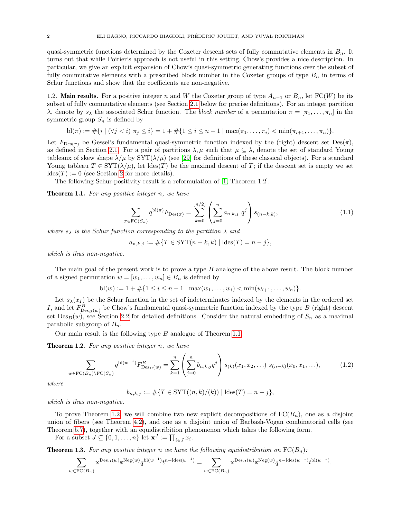quasi-symmetric functions determined by the Coxeter descent sets of fully commutative elements in  $B_n$ . It turns out that while Poirier's approach is not useful in this setting, Chow's provides a nice description. In particular, we give an explicit expansion of Chow's quasi-symmetric generating functions over the subset of fully commutative elements with a prescribed block number in the Coxeter groups of type  $B_n$  in terms of Schur functions and show that the coefficients are non-negative.

1.2. Main results. For a positive integer n and W the Coxeter group of type  $A_{n-1}$  or  $B_n$ , let FC(W) be its subset of fully commutative elements (see Section [2.1](#page-2-0) below for precise definitions). For an integer partition λ, denote by  $s_\lambda$  the associated Schur function. The block number of a permutation  $\pi = [\pi_1, \ldots, \pi_n]$  in the symmetric group  $S_n$  is defined by

$$
\text{bl}(\pi) := \#\{i \mid (\forall j < i) \ \pi_j \leq i\} = 1 + \#\{1 \leq i \leq n-1 \mid \max(\pi_1, \dots, \pi_i) < \min(\pi_{i+1}, \dots, \pi_n)\}.
$$

Let  $F_{\text{Des}(\pi)}$  be Gessel's fundamental quasi-symmetric function indexed by the (right) descent set Des( $\pi$ ), as defined in Section [2.1.](#page-2-0) For a pair of partitions  $\lambda, \mu$  such that  $\mu \subseteq \lambda$ , denote the set of standard Young tableaux of skew shape  $\lambda/\mu$  by SYT( $\lambda/\mu$ ) (see [\[29\]](#page-24-7) for definitions of these classical objects). For a standard Young tableau  $T \in \text{SYT}(\lambda/\mu)$ , let ldes(T) be the maximal descent of T; if the descent set is empty we set  $ldes(T) := 0$  (see Section [2](#page-2-1) for more details).

The following Schur-positivity result is a reformulation of [\[1,](#page-23-0) Theorem 1.2].

<span id="page-1-0"></span>Theorem 1.1. For any positive integer n, we have

$$
\sum_{\pi \in \text{FC}(S_n)} q^{\text{bl}(\pi)} F_{\text{Des}(\pi)} = \sum_{k=0}^{\lfloor n/2 \rfloor} \left( \sum_{j=0}^n a_{n,k,j} q^j \right) s_{(n-k,k)},\tag{1.1}
$$

where  $s_{\lambda}$  is the Schur function corresponding to the partition  $\lambda$  and

$$
a_{n,k,j} := \# \{ T \in \text{SYT}(n-k,k) \mid \text{ldes}(T) = n - j \},
$$

which is thus non-negative.

The main goal of the present work is to prove a type B analogue of the above result. The block number of a signed permutation  $w = [w_1, \ldots, w_n] \in B_n$  is defined by

$$
bl(w) := 1 + \#\{1 \le i \le n-1 \mid \max(w_1, \ldots, w_i) < \min(w_{i+1}, \ldots, w_n)\}.
$$

Let  $s_{\lambda}(x_I)$  be the Schur function in the set of indeterminates indexed by the elements in the ordered set I, and let  $F_{\text{Des}_B(w)}^B$  be Chow's fundamental quasi-symmetric function indexed by the type B (right) descent set  $Des_B(w)$ , see Section [2.2](#page-3-0) for detailed definitions. Consider the natural embedding of  $S_n$  as a maximal parabolic subgroup of  $B_n$ .

Our main result is the following type B analogue of Theorem [1.1.](#page-1-0)

<span id="page-1-1"></span>Theorem 1.2. For any positive integer n, we have

$$
\sum_{w \in \text{FC}(B_n) \backslash \text{FC}(S_n)} q^{\text{bl}(w^{-1})} F_{\text{Des}_B(w)}^B = \sum_{k=1}^n \left( \sum_{j=0}^n b_{n,k,j} q^j \right) s_{(k)}(x_1, x_2, \ldots) s_{(n-k)}(x_0, x_1, \ldots), \tag{1.2}
$$

where

$$
b_{n,k,j} := #\{T \in \text{SYT}((n,k)/(k)) \mid \text{ldes}(T) = n - j\},\
$$

which is thus non-negative.

To prove Theorem [1.2,](#page-1-1) we will combine two new explicit decompositions of  $FC(B_n)$ , one as a disjoint union of fibers (see Theorem [4.2\)](#page-11-0), and one as a disjoint union of Barbash-Vogan combinatorial cells (see Theorem [5.7\)](#page-15-0), together with an equidistribition phenomenon which takes the following form.

For a subset  $J \subseteq \{0, 1, \ldots, n\}$  let  $\mathbf{x}^{J} := \prod_{i \in J} x_{i}$ .

<span id="page-1-2"></span>**Theorem 1.3.** For any positive integer n we have the following equidistribution on  $FC(B_n)$ :

$$
\sum_{w\in\mathrm{FC}(B_n)}\mathbf x^{\mathrm{Des}_B(w)}\mathbf z^{\mathrm{Neg}(w)}q^{\mathrm{bl}(w^{-1})}t^{n-\mathrm{ldes}(w^{-1})}=\sum_{w\in\mathrm{FC}(B_n)}\mathbf x^{\mathrm{Des}_B(w)}\mathbf z^{\mathrm{Neg}(w)}q^{n-\mathrm{ldes}(w^{-1})}t^{\mathrm{bl}(w^{-1})}.
$$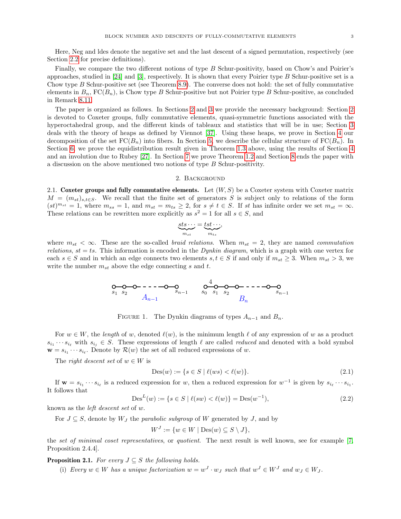Here, Neg and ldes denote the negative set and the last descent of a signed permutation, respectively (see Section [2.2](#page-3-0) for precise definitions).

Finally, we compare the two different notions of type B Schur-positivity, based on Chow's and Poirier's approaches, studied in  $[24]$  and  $[3]$ , respectively. It is shown that every Poirier type B Schur-positive set is a Chow type B Schur-positive set (see Theorem [8.9\)](#page-22-0). The converse does not hold: the set of fully commutative elements in  $B_n$ ,  $FC(B_n)$ , is Chow type B Schur-positive but not Poirier type B Schur-positive, as concluded in Remark [8.11.](#page-23-2)

The paper is organized as follows. In Sections [2](#page-2-1) and [3](#page-7-0) we provide the necessary background: Section [2](#page-2-1) is devoted to Coxeter groups, fully commutative elements, quasi-symmetric functions associated with the hyperoctahedral group, and the different kinds of tableaux and statistics that will be in use; Section [3](#page-7-0) deals with the theory of heaps as defined by Viennot [\[37\]](#page-24-14). Using these heaps, we prove in Section [4](#page-10-0) our decomposition of the set  $FC(B_n)$  into fibers. In Section [5,](#page-14-0) we describe the cellular structure of  $FC(B_n)$ . In Section [6,](#page-17-0) we prove the equidistribution result given in Theorem [1.3](#page-1-2) above, using the results of Section [4](#page-10-0) and an involution due to Rubey [\[27\]](#page-24-15). In Section [7](#page-18-0) we prove Theorem [1.2](#page-1-1) and Section [8](#page-20-0) ends the paper with a discussion on the above mentioned two notions of type B Schur-positivity.

#### 2. Background

<span id="page-2-1"></span><span id="page-2-0"></span>2.1. Coxeter groups and fully commutative elements. Let  $(W, S)$  be a Coxeter system with Coxeter matrix  $M = (m_{st})_{s,t \in S}$ . We recall that the finite set of generators S is subject only to relations of the form  $(st)^{m_{st}} = 1$ , where  $m_{ss} = 1$ , and  $m_{st} = m_{ts} \geq 2$ , for  $s \neq t \in S$ . If st has infinite order we set  $m_{st} = \infty$ . These relations can be rewritten more explicitly as  $s^2 = 1$  for all  $s \in S$ , and

$$
\underbrace{sts\cdots}_{m_{st}} = \underbrace{tst\cdots}_{m_{ts}},
$$

where  $m_{st} < \infty$ . These are the so-called *braid relations*. When  $m_{st} = 2$ , they are named *commutation relations, st = ts.* This information is encoded in the *Dynkin diagram*, which is a graph with one vertex for each  $s \in S$  and in which an edge connects two elements  $s, t \in S$  if and only if  $m_{st} \geq 3$ . When  $m_{st} > 3$ , we write the number  $m_{st}$  above the edge connecting s and t.

$$
\begin{array}{ccc}\n0 & 0 & -1 & -1 \\
s_1 & s_2 & A_{n-1} & s_0 & s_1 & s_2 \\
 & & A_{n-1} & & s_0 & s_1 & s_2\n\end{array}
$$

<span id="page-2-2"></span>FIGURE 1. The Dynkin diagrams of types  $A_{n-1}$  and  $B_n$ .

For  $w \in W$ , the length of w, denoted  $\ell(w)$ , is the minimum length  $\ell$  of any expression of w as a product  $s_{i_1} \cdots s_{i_\ell}$  with  $s_{i_j} \in S$ . These expressions of length  $\ell$  are called *reduced* and denoted with a bold symbol  $\mathbf{w} = s_{i_1} \cdots s_{i_\ell}$ . Denote by  $\mathcal{R}(w)$  the set of all reduced expressions of w.

The *right descent set* of  $w \in W$  is

<span id="page-2-3"></span>
$$
Des(w) := \{ s \in S \mid \ell(ws) < \ell(w) \}. \tag{2.1}
$$

If  $\mathbf{w} = s_{i_1} \cdots s_{i_\ell}$  is a reduced expression for w, then a reduced expression for  $w^{-1}$  is given by  $s_{i_\ell} \cdots s_{i_1}$ . It follows that

$$
Des^{L}(w) := \{ s \in S \mid \ell(sw) < \ell(w) \} = Des(w^{-1}),\tag{2.2}
$$

known as the left descent set of w.

For  $J \subseteq S$ , denote by  $W_J$  the *parabolic subgroup* of W generated by J, and by

$$
W^J := \{ w \in W \mid \text{Des}(w) \subseteq S \setminus J \},\
$$

the set of minimal coset representatives, or quotient. The next result is well known, see for example [\[7,](#page-24-16) Proposition 2.4.4].

<span id="page-2-4"></span>**Proposition 2.1.** For every  $J \subseteq S$  the following holds.

(i) Every  $w \in W$  has a unique factorization  $w = w^J \cdot w_J$  such that  $w^J \in W^J$  and  $w_J \in W_J$ .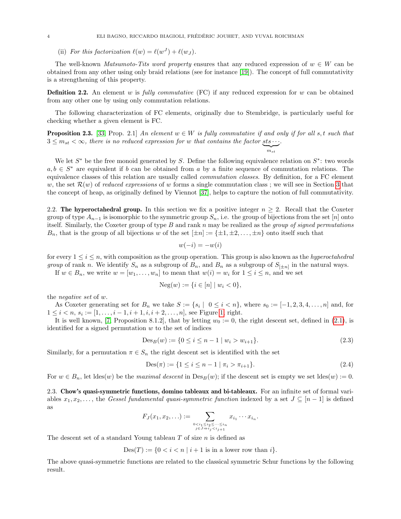(ii) For this factorization  $\ell(w) = \ell(w^{J}) + \ell(w_{J}).$ 

The well-known Matsumoto-Tits word property ensures that any reduced expression of  $w \in W$  can be obtained from any other using only braid relations (see for instance [\[19\]](#page-24-17)). The concept of full commutativity is a strengthening of this property.

**Definition 2.2.** An element w is fully commutative (FC) if any reduced expression for w can be obtained from any other one by using only commutation relations.

The following characterization of FC elements, originally due to Stembridge, is particularly useful for checking whether a given element is FC.

<span id="page-3-1"></span>**Proposition 2.3.** [\[33,](#page-24-2) Prop. 2.1] An element  $w \in W$  is fully commutative if and only if for all s, t such that  $3 \leq m_{st} < \infty$ , there is no reduced expression for w that contains the factor sts  $\cdots$ .  $\sum_{m_{st}}$ .

We let  $S^*$  be the free monoid generated by S. Define the following equivalence relation on  $S^*$ : two words  $a, b \in S^*$  are equivalent if b can be obtained from a by a finite sequence of commutation relations. The equivalence classes of this relation are usually called commutation classes. By definition, for a FC element w, the set  $\mathcal{R}(w)$  of reduced expressions of w forms a single commutation class; we will see in Section [3](#page-7-0) that the concept of heap, as originally defined by Viennot [\[37\]](#page-24-14), helps to capture the notion of full commutativity.

<span id="page-3-0"></span>2.2. The hyperoctahedral group. In this section we fix a positive integer  $n \geq 2$ . Recall that the Coxeter group of type  $A_{n-1}$  is isomorphic to the symmetric group  $S_n$ , i.e. the group of bijections from the set [n] onto itself. Similarly, the Coxeter group of type  $B$  and rank  $n$  may be realized as the group of signed permutations  $B_n$ , that is the group of all bijections w of the set  $[\pm n] := {\pm 1, \pm 2, \ldots, \pm n}$  onto itself such that

$$
w(-i) = -w(i)
$$

for every  $1 \leq i \leq n$ , with composition as the group operation. This group is also known as the *hyperoctahedral group* of rank n. We identify  $S_n$  as a subgroup of  $B_n$ , and  $B_n$  as a subgroup of  $S_{[\pm n]}$  in the natural ways.

If  $w \in B_n$ , we write  $w = [w_1, \ldots, w_n]$  to mean that  $w(i) = w_i$  for  $1 \le i \le n$ , and we set

$$
Neg(w) := \{ i \in [n] \mid w_i < 0 \},
$$

the negative set of w.

As Coxeter generating set for  $B_n$  we take  $S := \{s_i \mid 0 \le i < n\}$ , where  $s_0 := [-1, 2, 3, 4, \ldots, n]$  and, for  $1 \leq i < n, s_i := [1, \ldots, i-1, i+1, i, i+2, \ldots, n]$ , see Figure [1,](#page-2-2) right.

It is well known, [\[7,](#page-24-16) Proposition 8.1.2], that by letting  $w_0 := 0$ , the right descent set, defined in [\(2.1\)](#page-2-3), is identified for a signed permutation  $w$  to the set of indices

<span id="page-3-3"></span>
$$
Des_B(w) := \{ 0 \le i \le n - 1 \mid w_i > w_{i+1} \}. \tag{2.3}
$$

 $m_{st}$ 

Similarly, for a permutation  $\pi \in S_n$  the right descent set is identified with the set

<span id="page-3-2"></span>
$$
Des(\pi) := \{ 1 \le i \le n - 1 \mid \pi_i > \pi_{i+1} \}. \tag{2.4}
$$

For  $w \in B_n$ , let ldes(w) be the maximal descent in  $Des_B(w)$ ; if the descent set is empty we set ldes(w) := 0.

<span id="page-3-4"></span>2.3. Chow's quasi-symmetric functions, domino tableaux and bi-tableaux. For an infinite set of formal variables  $x_1, x_2, \ldots$ , the Gessel fundamental quasi-symmetric function indexed by a set  $J \subseteq [n-1]$  is defined as

$$
F_J(x_1, x_2, \ldots) := \sum_{\substack{0 < i_1 \leq i_2 \leq \cdots \leq i_n \\ j \in J \Rightarrow i_j < i_{j+1}}} x_{i_1} \cdots x_{i_n}.
$$

The descent set of a standard Young tableau  $T$  of size  $n$  is defined as

 $Des(T) := \{0 \le i \le n \mid i + 1 \text{ is in a lower row than } i\}.$ 

The above quasi-symmetric functions are related to the classical symmetric Schur functions by the following result.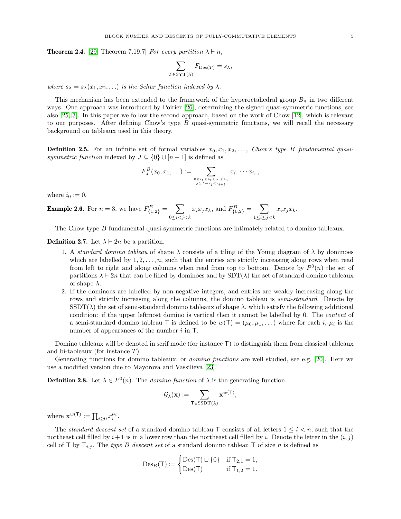<span id="page-4-0"></span>**Theorem 2.4.** [\[29,](#page-24-7) Theorem 7.19.7] For every partition  $\lambda \vdash n$ .

$$
\sum_{T \in \text{SYT}(\lambda)} F_{\text{Des}(T)} = s_{\lambda},
$$

where  $s_{\lambda} = s_{\lambda}(x_1, x_2, ...)$  is the Schur function indexed by  $\lambda$ .

This mechanism has been extended to the framework of the hyperoctahedral group  $B_n$  in two different ways. One approach was introduced by Poirier [\[26\]](#page-24-11), determining the signed quasi-symmetric functions, see also [\[25,](#page-24-12) [3\]](#page-23-1). In this paper we follow the second approach, based on the work of Chow [\[12\]](#page-24-10), which is relevant to our purposes. After defining Chow's type  $B$  quasi-symmetric functions, we will recall the necessary background on tableaux used in this theory.

<span id="page-4-1"></span>**Definition 2.5.** For an infinite set of formal variables  $x_0, x_1, x_2, \ldots$ , Chow's type B fundamental quasisymmetric function indexed by  $J \subseteq \{0\} \cup [n-1]$  is defined as

$$
F_J^B(x_0, x_1, \ldots) := \sum_{\substack{0 \le i_1 \le i_2 \le \cdots \le i_n \\ j \in J \Rightarrow i_j < i_j + 1}} x_{i_1} \cdots x_{i_n},
$$

where  $i_0 := 0$ .

**Example 2.6.** For 
$$
n = 3
$$
, we have  $F_{\{1,2\}}^B = \sum_{0 \le i < j < k} x_i x_j x_k$ , and  $F_{\{0,2\}}^B = \sum_{1 \le i \le j < k} x_i x_j x_k$ .

The Chow type B fundamental quasi-symmetric functions are intimately related to domino tableaux.

**Definition 2.7.** Let  $\lambda \vdash 2n$  be a partition.

- 1. A standard domino tableau of shape  $\lambda$  consists of a tiling of the Young diagram of  $\lambda$  by dominoes which are labelled by  $1, 2, \ldots, n$ , such that the entries are strictly increasing along rows when read from left to right and along columns when read from top to bottom. Denote by  $P^0(n)$  the set of partitions  $\lambda \vdash 2n$  that can be filled by dominoes and by  $SDT(\lambda)$  the set of standard domino tableaux of shape  $\lambda$ .
- 2. If the dominoes are labelled by non-negative integers, and entries are weakly increasing along the rows and strictly increasing along the columns, the domino tableau is *semi-standard*. Denote by  $\text{SSDT}(\lambda)$  the set of semi-standard domino tableaux of shape  $\lambda$ , which satisfy the following additional condition: if the upper leftmost domino is vertical then it cannot be labelled by 0. The content of a semi-standard domino tableau T is defined to be  $w(T) = (\mu_0, \mu_1, \dots)$  where for each i,  $\mu_i$  is the number of appearances of the number  $i$  in  $\mathsf{T}$ .

Domino tableaux will be denoted in serif mode (for instance T) to distinguish them from classical tableaux and bi-tableaux (for instance T).

Generating functions for domino tableaux, or domino functions are well studied, see e.g. [\[20\]](#page-24-18). Here we use a modified version due to Mayorova and Vassilieva [\[23\]](#page-24-19).

<span id="page-4-2"></span>**Definition 2.8.** Let  $\lambda \in P^{0}(n)$ . The *domino function* of  $\lambda$  is the generating function

$$
\mathcal{G}_{\lambda}(\mathbf{x}) := \sum_{\mathsf{T} \in \mathrm{SSDT}(\lambda)} \mathbf{x}^{w(\mathsf{T})},
$$

where  $\mathbf{x}^{w(\mathsf{T})} := \prod_{i \geq 0} x_i^{\mu_i}$ .

The standard descent set of a standard domino tableau T consists of all letters  $1 \leq i \leq n$ , such that the northeast cell filled by  $i+1$  is in a lower row than the northeast cell filled by i. Denote the letter in the  $(i, j)$ cell of T by  $T_{i,j}$ . The type B descent set of a standard domino tableau T of size n is defined as

$$
Des_B(T) := \begin{cases} Des(T) \sqcup \{0\} & \text{if } T_{2,1} = 1, \\ Des(T) & \text{if } T_{1,2} = 1. \end{cases}
$$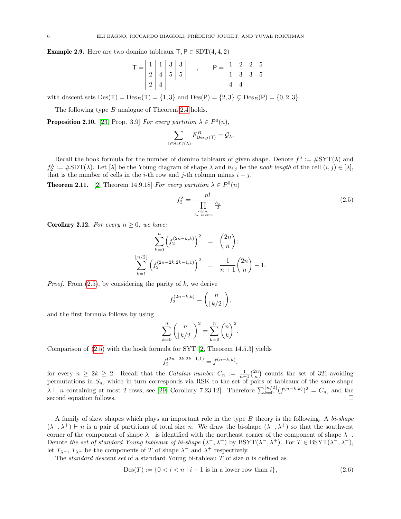**Example 2.9.** Here are two domino tableaux  $T, P \in SDT(4, 4, 2)$ 

$$
\mathsf{T} = \begin{array}{|c|c|c|c|c|} \hline 1 & 1 & 3 & 3 \\ \hline 2 & 4 & 5 & 5 \\ \hline 2 & 4 & 5 & 6 \\ \hline \end{array} , \qquad \mathsf{P} = \begin{array}{|c|c|c|c|} \hline 1 & 2 & 2 & 5 \\ \hline 1 & 3 & 3 & 5 \\ \hline 4 & 4 & 4 \\ \hline \end{array}
$$

with descent sets  $Des(T) = Des_B(T) = \{1, 3\}$  and  $Des(P) = \{2, 3\} \subseteq Des_B(P) = \{0, 2, 3\}.$ 

The following type B analogue of Theorem [2.4](#page-4-0) holds.

<span id="page-5-1"></span>**Proposition 2.10.** [\[23,](#page-24-19) Prop. 3.9] For every partition  $\lambda \in P^0(n)$ ,

$$
\sum_{\mathsf{T} \in \mathrm{SDT}(\lambda)} F_{\mathrm{Des}_B(\mathsf{T})}^B = \mathcal{G}_{\lambda}.
$$

Recall the hook formula for the number of domino tableaux of given shape. Denote  $f^{\lambda} := \#SYT(\lambda)$  and  $f_2^{\lambda} := \#SDT(\lambda)$ . Let  $[\lambda]$  be the Young diagram of shape  $\lambda$  and  $h_{i,j}$  be the *hook length* of the cell  $(i, j) \in [\lambda]$ , that is the number of cells in the *i*-th row and *j*-th column minus  $i + j$ .

**Theorem 2.11.** [\[2,](#page-23-3) Theorem 14.9.18] For every partition  $\lambda \in P^0(n)$ 

<span id="page-5-0"></span>
$$
f_2^{\lambda} = \frac{n!}{\prod_{\substack{c \in [\lambda] \\ h_c \text{ is even}}} \frac{h_c}{2}}.
$$
\n
$$
(2.5)
$$

<span id="page-5-2"></span>**Corollary 2.12.** For every  $n \geq 0$ , we have:

$$
\sum_{k=0}^{n} \left(f_2^{(2n-k,k)}\right)^2 = {2n \choose n};
$$
  

$$
\sum_{k=1}^{\lfloor n/2 \rfloor} \left(f_2^{(2n-2k,2k-1,1)}\right)^2 = \frac{1}{n+1} {2n \choose n} - 1.
$$

*Proof.* From  $(2.5)$ , by considering the parity of  $k$ , we derive

$$
f_2^{(2n-k,k)} = \binom{n}{\lfloor k/2 \rfloor},
$$

and the first formula follows by using

$$
\sum_{k=0}^{n} \binom{n}{\lfloor k/2 \rfloor}^2 = \sum_{k=0}^{n} \binom{n}{k}^2.
$$

Comparison of [\(2.5\)](#page-5-0) with the hook formula for SYT [\[2,](#page-23-3) Theorem 14.5.3] yields

$$
f_2^{(2n-2k,2k-1,1)} = f^{(n-k,k)},
$$

for every  $n \geq 2k \geq 2$ . Recall that the *Catalan number*  $C_n := \frac{1}{n+1} {2n \choose n}$  counts the set of 321-avoiding permutations in  $S_n$ , which in turn corresponds via RSK to the set of pairs of tableaux of the same shape  $\lambda \vdash n$  containing at most 2 rows, see [\[29,](#page-24-7) Corollary 7.23.12]. Therefore  $\sum_{k=0}^{\lfloor n/2 \rfloor} (f^{(n-k,k)})^2 = C_n$ , and the second equation follows.

A family of skew shapes which plays an important role in the type B theory is the following. A bi-shape  $(\lambda^-, \lambda^+) \vdash n$  is a pair of partitions of total size n. We draw the bi-shape  $(\lambda^-, \lambda^+)$  so that the southwest corner of the component of shape  $\lambda^+$  is identified with the northeast corner of the component of shape  $\lambda^-$ . Denote the set of standard Young tableaux of bi-shape  $(\lambda^-, \lambda^+)$  by BSYT $(\lambda^-, \lambda^+)$ . For  $T \in BSYT(\lambda^-, \lambda^+)$ , let  $T_{\lambda}$ -,  $T_{\lambda}$ + be the components of T of shape  $\lambda$ <sup>-</sup> and  $\lambda$ <sup>+</sup> respectively.

The *standard descent set* of a standard Young bi-tableau  $T$  of size  $n$  is defined as

<span id="page-5-3"></span>
$$
Des(T) := \{0 < i < n \mid i+1 \text{ is in a lower row than } i\},\tag{2.6}
$$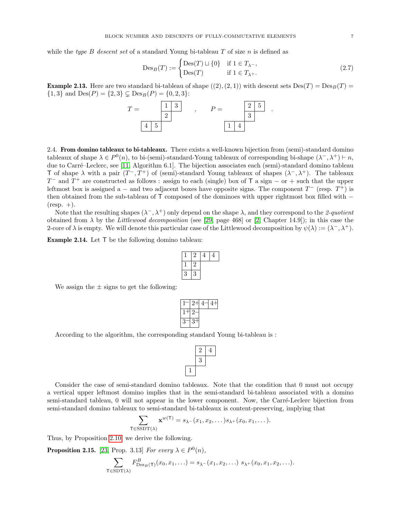while the type B descent set of a standard Young bi-tableau T of size n is defined as

$$
\mathrm{Des}_B(T) := \begin{cases} \mathrm{Des}(T) \sqcup \{0\} & \text{if } 1 \in T_{\lambda^-}, \\ \mathrm{Des}(T) & \text{if } 1 \in T_{\lambda^+}. \end{cases} \tag{2.7}
$$

**Example 2.13.** Here are two standard bi-tableau of shape  $((2), (2, 1))$  with descent sets  $\text{Des}(T) = \text{Des}_B(T)$  ${1, 3}$  and  $Des(P) = {2, 3} \subsetneq Des_B(P) = {0, 2, 3}$ :



<span id="page-6-1"></span>2.4. From domino tableaux to bi-tableaux. There exists a well-known bijection from (semi)-standard domino tableaux of shape  $\lambda \in P^0(n)$ , to bi-(semi)-standard-Young tableaux of corresponding bi-shape  $(\lambda^-, \lambda^+) \vdash n$ , due to Carré–Leclerc, see [\[11,](#page-24-20) Algorithm 6.1]. The bijection associates each (semi)-standard domino tableau T of shape  $\lambda$  with a pair  $(T^-, T^+)$  of (semi)-standard Young tableaux of shapes  $(\lambda^-, \lambda^+)$ . The tableaux  $T^{-}$  and  $T^{+}$  are constructed as follows : assign to each (single) box of T a sign – or + such that the upper leftmost box is assigned a – and two adjacent boxes have opposite signs. The component  $T^-$  (resp.  $T^+$ ) is then obtained from the sub-tableau of T composed of the dominoes with upper rightmost box filled with −  $(resp. +).$ 

Note that the resulting shapes  $(\lambda^-, \lambda^+)$  only depend on the shape  $\lambda$ , and they correspond to the 2-quotient obtained from  $\lambda$  by the Littlewood decomposition (see [\[29,](#page-24-7) page 468] or [\[2,](#page-23-3) Chapter 14.9]); in this case the 2-core of  $\lambda$  is empty. We will denote this particular case of the Littlewood decomposition by  $\psi(\lambda) := (\lambda^-, \lambda^+)$ .

Example 2.14. Let T be the following domino tableau:

|   | ٠, |  |
|---|----|--|
|   | ٠, |  |
| 3 | 3  |  |

We assign the  $\pm$  signs to get the following:

| 9 |  |  |
|---|--|--|

According to the algorithm, the corresponding standard Young bi-tableau is :



Consider the case of semi-standard domino tableaux. Note that the condition that 0 must not occupy a vertical upper leftmost domino implies that in the semi-standard bi-tableau associated with a domino semi-standard tableau, 0 will not appear in the lower component. Now, the Carré-Leclerc bijection from semi-standard domino tableaux to semi-standard bi-tableaux is content-preserving, implying that

$$
\sum_{\mathsf{T}\in \mathrm{SSDT}(\lambda)} \mathbf{x}^{w(\mathsf{T})} = s_{\lambda^-}(x_1, x_2, \dots) s_{\lambda^+}(x_0, x_1, \dots).
$$

Thus, by Proposition [2.10,](#page-5-1) we derive the following.

<span id="page-6-0"></span>**Proposition 2.15.** [\[23,](#page-24-19) Prop. 3.13] For every  $\lambda \in P^0(n)$ ,

$$
\sum_{\mathsf{T} \in \text{SDT}(\lambda)} F^B_{\text{Des}_B(\mathsf{T})}(x_0, x_1, \ldots) = s_{\lambda^-}(x_1, x_2, \ldots) s_{\lambda^+}(x_0, x_1, x_2, \ldots).
$$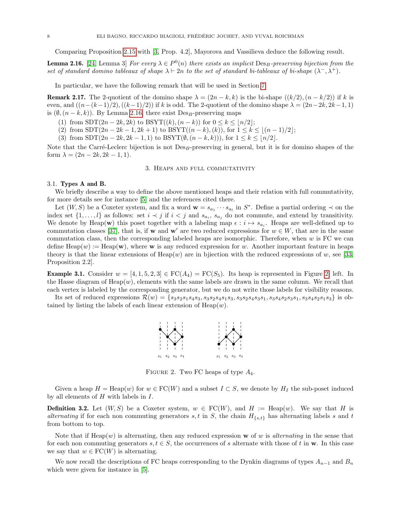Comparing Proposition [2.15](#page-6-0) with [\[3,](#page-23-1) Prop. 4.2], Mayorova and Vassilieva deduce the following result.

<span id="page-7-1"></span>**Lemma 2.16.** [\[24,](#page-24-13) Lemma 3] For every  $\lambda \in P^0(n)$  there exists an implicit  $\text{Des}_B$ -preserving bijection from the set of standard domino tableaux of shape  $\lambda \vdash 2n$  to the set of standard bi-tableaux of bi-shape  $(\lambda^{-}, \lambda^{+})$ .

In particular, we have the following remark that will be used in Section [7.](#page-18-0)

<span id="page-7-3"></span>**Remark 2.17.** The 2-quotient of the domino shape  $\lambda = (2n - k, k)$  is the bi-shape  $((k/2), (n - k/2))$  if k is even, and  $((n-(k-1)/2),((k-1)/2))$  if k is odd. The 2-quotient of the domino shape  $\lambda = (2n-2k, 2k-1, 1)$ is  $(\emptyset,(n-k,k))$ . By Lemma [2.16,](#page-7-1) there exist Des<sub>B</sub>-preserving maps

- (1) from  $SDT(2n 2k, 2k)$  to  $BSYT((k), (n k))$  for  $0 \le k \le \lfloor n/2 \rfloor$ ;
- (2) from  $SDT(2n 2k 1, 2k + 1)$  to  $BSYT((n k), (k))$ , for  $1 \leq k \leq (n 1)/2$ ;
- (3) from  $SDT(2n 2k, 2k 1, 1)$  to  $BSYT(\emptyset, (n k, k))$ , for  $1 \leq k \leq \lfloor n/2 \rfloor$ .

Note that the Carré-Leclerc bijection is not  $Des_R$ -preserving in general, but it is for domino shapes of the form  $\lambda = (2n - 2k, 2k - 1, 1).$ 

#### 3. Heaps and full commutativity

## <span id="page-7-0"></span>3.1. Types A and B.

We briefly describe a way to define the above mentioned heaps and their relation with full commutativity, for more details see for instance [\[5\]](#page-23-4) and the references cited there.

Let  $(W, S)$  be a Coxeter system, and fix a word  $\mathbf{w} = s_{a_1} \cdots s_{a_l}$  in  $S^*$ . Define a partial ordering  $\prec$  on the index set  $\{1,\ldots,l\}$  as follows: set  $i \prec j$  if  $i < j$  and  $s_{a_i}$ ,  $s_{a_j}$  do not commute, and extend by transitivity. We denote by Heap(w) this poset together with a labeling map  $\epsilon : i \mapsto s_{a_i}$ . Heaps are well-defined up to commutation classes [\[37\]](#page-24-14), that is, if w and w' are two reduced expressions for  $w \in W$ , that are in the same commutation class, then the corresponding labeled heaps are isomorphic. Therefore, when  $w$  is FC we can define  $\text{Heap}(w) := \text{Heap}(\mathbf{w})$ , where **w** is any reduced expression for w. Another important feature in heaps theory is that the linear extensions of Heap(w) are in bjiection with the reduced expressions of w, see [\[33,](#page-24-2) Proposition 2.2].

**Example 3.1.** Consider  $w = \begin{bmatrix} 4 & 1 & 5 & 2 & 3 \end{bmatrix} \in FC(A_4) = FC(S_5)$ . Its heap is represented in Figure [2,](#page-7-2) left. In the Hasse diagram of  $Heap(w)$ , elements with the same labels are drawn in the same column. We recall that each vertex is labeled by the corresponding generator, but we do not write those labels for visibility reasons.

Its set of reduced expressions  $\mathcal{R}(w) = \{s_3s_2s_1s_4s_3, s_3s_2s_4s_1s_3, s_3s_2s_4s_3s_1, s_3s_4s_2s_3s_1, s_3s_4s_2s_1s_3\}$  is obtained by listing the labels of each linear extension of  $Heap(w)$ .



<span id="page-7-2"></span>FIGURE 2. Two FC heaps of type  $A_4$ .

Given a heap  $H = \text{Heap}(w)$  for  $w \in \text{FC}(W)$  and a subset  $I \subset S$ , we denote by  $H_I$  the sub-poset induced by all elements of  $H$  with labels in  $I$ .

**Definition 3.2.** Let  $(W, S)$  be a Coxeter system,  $w \in FC(W)$ , and  $H := \text{Heap}(w)$ . We say that H is alternating if for each non commuting generators s, t in S, the chain  $H_{\{s,t\}}$  has alternating labels s and t from bottom to top.

Note that if  $Heap(w)$  is alternating, then any reduced expression w of w is alternating in the sense that for each non commuting generators s,  $t \in S$ , the occurrences of s alternate with those of t in w. In this case we say that  $w \in \mathrm{FC}(W)$  is alternating.

We now recall the descriptions of FC heaps corresponding to the Dynkin diagrams of types  $A_{n-1}$  and  $B_n$ which were given for instance in [\[5\]](#page-23-4).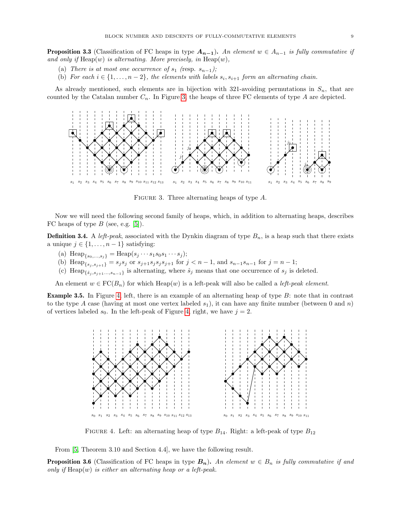**Proposition 3.3** (Classification of FC heaps in type  $A_{n-1}$ ). An element  $w \in A_{n-1}$  is fully commutative if and only if  $\text{Heap}(w)$  is alternating. More precisely, in  $\text{Heap}(w)$ ,

- (a) There is at most one occurrence of  $s_1$  (resp.  $s_{n-1}$ );
- (b) For each  $i \in \{1, \ldots, n-2\}$ , the elements with labels  $s_i, s_{i+1}$  form an alternating chain.

As already mentioned, such elements are in bijection with 321-avoiding permutations in  $S_n$ , that are counted by the Catalan number  $C_n$ . In Figure [3,](#page-8-0) the heaps of three FC elements of type A are depicted.



<span id="page-8-0"></span>FIGURE 3. Three alternating heaps of type A.

Now we will need the following second family of heaps, which, in addition to alternating heaps, describes FC heaps of type  $B$  (see, e.g. [\[5\]](#page-23-4)).

**Definition 3.4.** A left-peak, associated with the Dynkin diagram of type  $B_n$ , is a heap such that there exists a unique  $j \in \{1, \ldots, n-1\}$  satisfying:

- (a)  $\text{Heap}_{\{s_0,\ldots,s_j\}} = \text{Heap}(s_j \cdots s_1 s_0 s_1 \cdots s_j);$
- (b) Heap<sub>{s<sub>j</sub>,s<sub>j+1</sub>}</sub> = s<sub>j</sub>s<sub>j</sub> or s<sub>j+1</sub>s<sub>j</sub>s<sub>j</sub>s<sub>j</sub>+<sub>1</sub> for  $j < n 1$ , and s<sub>n-1</sub>s<sub>n-1</sub> for  $j = n 1$ ;
- (c) Heap<sub>{ $\hat{s}_j$ , $s_{j+1}$ ..., $s_{n-1}$ } is alternating, where  $\hat{s}_j$  means that one occurrence of  $s_j$  is deleted.</sub>

An element  $w \in \operatorname{FC}(B_n)$  for which Heap(w) is a left-peak will also be called a *left-peak element*.

Example 3.5. In Figure [4,](#page-8-1) left, there is an example of an alternating heap of type B: note that in contrast to the type A case (having at most one vertex labeled  $s_1$ ), it can have any finite number (between 0 and n) of vertices labeled  $s_0$ . In the left-peak of Figure [4,](#page-8-1) right, we have  $j = 2$ .



<span id="page-8-1"></span>FIGURE 4. Left: an alternating heap of type  $B_{14}$ . Right: a left-peak of type  $B_{12}$ 

From [\[5,](#page-23-4) Theorem 3.10 and Section 4.4], we have the following result.

**Proposition 3.6** (Classification of FC heaps in type  $B_n$ ). An element  $w \in B_n$  is fully commutative if and only if  $\text{Heap}(w)$  is either an alternating heap or a left-peak.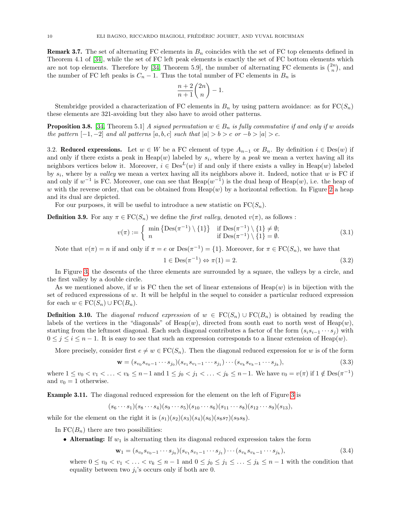<span id="page-9-5"></span>**Remark 3.7.** The set of alternating FC elements in  $B_n$  coincides with the set of FC top elements defined in Theorem 4.1 of [\[34\]](#page-24-3), while the set of FC left peak elements is exactly the set of FC bottom elements which are not top elements. Therefore by [\[34,](#page-24-3) Theorem 5.9], the number of alternating FC elements is  $\binom{2n}{n}$ , and the number of FC left peaks is  $C_n - 1$ . Thus the total number of FC elements in  $B_n$  is

$$
\frac{n+2}{n+1}\binom{2n}{n}-1.
$$

Stembridge provided a characterization of FC elements in  $B_n$  by using pattern avoidance: as for  $FC(S_n)$ these elements are 321-avoiding but they also have to avoid other patterns.

<span id="page-9-1"></span>**Proposition 3.8.** [\[34,](#page-24-3) Theorem 5.1] A signed permutation  $w \in B_n$  is fully commutative if and only if w avoids the pattern  $[-1, -2]$  and all patterns  $[a, b, c]$  such that  $|a| > b > c$  or  $-b > |a| > c$ .

<span id="page-9-6"></span>3.2. Reduced expressions. Let  $w \in W$  be a FC element of type  $A_{n-1}$  or  $B_n$ . By definition  $i \in Des(w)$  if and only if there exists a peak in  $\text{Heap}(w)$  labeled by  $s_i$ , where by a peak we mean a vertex having all its neighbors vertices below it. Moreover,  $i \in Des^L(w)$  if and only if there exists a valley in Heap $(w)$  labeled by  $s_i$ , where by a valley we mean a vertex having all its neighbors above it. Indeed, notice that w is FC if and only if  $w^{-1}$  is FC. Moreover, one can see that  $\text{Heap}(w^{-1})$  is the dual heap of  $\text{Heap}(w)$ , i.e. the heap of w with the reverse order, that can be obtained from  $Heap(w)$  by a horizontal reflection. In Figure [2](#page-7-2) a heap and its dual are depicted.

For our purposes, it will be useful to introduce a new statistic on  $FC(S_n)$ .

<span id="page-9-3"></span>**Definition 3.9.** For any  $\pi \in \mathrm{FC}(S_n)$  we define the *first valley*, denoted  $v(\pi)$ , as follows :

$$
v(\pi) := \begin{cases} \min\left\{ \operatorname{Des}(\pi^{-1}) \setminus \{1\} \right\} & \text{if } \operatorname{Des}(\pi^{-1}) \setminus \{1\} \neq \emptyset; \\ n & \text{if } \operatorname{Des}(\pi^{-1}) \setminus \{1\} = \emptyset. \end{cases} \tag{3.1}
$$

Note that  $v(\pi) = n$  if and only if  $\pi = e$  or  $\text{Des}(\pi^{-1}) = \{1\}$ . Moreover, for  $\pi \in \text{FC}(S_n)$ , we have that

<span id="page-9-4"></span>
$$
1 \in \text{Des}(\pi^{-1}) \Leftrightarrow \pi(1) = 2. \tag{3.2}
$$

In Figure [3,](#page-8-0) the descents of the three elements are surrounded by a square, the valleys by a circle, and the first valley by a double circle.

As we mentioned above, if w is FC then the set of linear extensions of  $Heap(w)$  is in bijection with the set of reduced expressions of w. It will be helpful in the sequel to consider a particular reduced expression for each  $w \in \mathrm{FC}(S_n) \cup \mathrm{FC}(B_n)$ .

<span id="page-9-2"></span>**Definition 3.10.** The *diagonal reduced expression* of  $w \in \text{FC}(S_n) \cup \text{FC}(B_n)$  is obtained by reading the labels of the vertices in the "diagonals" of  $\text{Heap}(w)$ , directed from south east to north west of  $\text{Heap}(w)$ , starting from the leftmost diagonal. Each such diagonal contributes a factor of the form  $(s_i s_{i-1} \cdots s_j)$  with  $0 \leq j \leq i \leq n-1$ . It is easy to see that such an expression corresponds to a linear extension of Heap(w).

More precisely, consider first  $e \neq w \in \mathrm{FC}(S_n)$ . Then the diagonal reduced expression for w is of the form

<span id="page-9-0"></span>
$$
\mathbf{w} = (s_{v_0} s_{v_0 - 1} \cdots s_{j_0}) (s_{v_1} s_{v_1 - 1} \cdots s_{j_1}) \cdots (s_{v_k} s_{v_k - 1} \cdots s_{j_k}),
$$
(3.3)

where  $1 \le v_0 < v_1 < \ldots < v_k \le n-1$  and  $1 \le j_0 < j_1 < \ldots < j_k \le n-1$ . We have  $v_0 = v(\pi)$  if  $1 \notin \text{Des}(\pi^{-1})$ and  $v_0 = 1$  otherwise.

Example 3.11. The diagonal reduced expression for the element on the left of Figure [3](#page-8-0) is

$$
(s_6 \cdots s_1)(s_8 \cdots s_4)(s_9 \cdots s_5)(s_{10} \cdots s_6)(s_{11} \cdots s_8)(s_{12} \cdots s_9)(s_{13}),
$$

while for the element on the right it is  $(s_1)(s_2)(s_3)(s_4)(s_6)(s_8s_7)(s_9s_8)$ .

In  $FC(B_n)$  there are two possibilities:

• Alternating: If  $w_1$  is alternating then its diagonal reduced expression takes the form

$$
\mathbf{w}_1 = (s_{v_0} s_{v_0 - 1} \cdots s_{j_0}) (s_{v_1} s_{v_1 - 1} \cdots s_{j_1}) \cdots (s_{v_k} s_{v_k - 1} \cdots s_{j_k}),
$$
(3.4)

where  $0 \le v_0 < v_1 < \ldots < v_k \le n-1$  and  $0 \le j_0 \le j_1 \le \ldots \le j_k \le n-1$  with the condition that equality between two  $j_i$ 's occurs only if both are 0.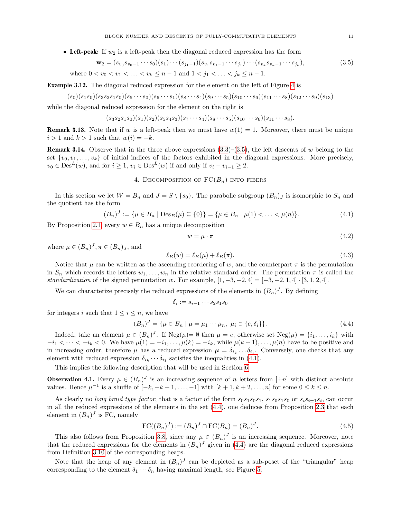• Left-peak: If  $w_2$  is a left-peak then the diagonal reduced expression has the form

<span id="page-10-1"></span>
$$
\mathbf{w}_2 = (s_{v_0} s_{v_0 - 1} \cdots s_0)(s_1) \cdots (s_{j_1 - 1})(s_{v_1} s_{v_1 - 1} \cdots s_{j_1}) \cdots (s_{v_k} s_{v_k - 1} \cdots s_{j_k}),
$$
  
where  $0 < v_0 < v_1 < \ldots < v_k \le n - 1$  and  $1 < j_1 < \ldots < j_k \le n - 1$ . (3.5)

Example 3.12. The diagonal reduced expression for the element on the left of Figure [4](#page-8-1) is

$$
(s_0)(s_1s_0)(s_3s_2s_1s_0)(s_5\cdots s_0)(s_6\cdots s_1)(s_8\cdots s_4)(s_9\cdots s_5)(s_{10}\cdots s_6)(s_{11}\cdots s_8)(s_{12}\cdots s_9)(s_{13})
$$

while the diagonal reduced expression for the element on the right is

$$
(s_3s_2s_1s_0)(s_1)(s_2)(s_5s_4s_3)(s_7\cdots s_4)(s_8\cdots s_5)(s_{10}\cdots s_6)(s_{11}\cdots s_8).
$$

<span id="page-10-7"></span>**Remark 3.13.** Note that if w is a left-peak then we must have  $w(1) = 1$ . Moreover, there must be unique  $i > 1$  and  $k > 1$  such that  $w(i) = -k$ .

**Remark 3.14.** Observe that in the three above expressions  $(3.3)$ – $(3.5)$ , the left descents of w belong to the set  $\{v_0, v_1, \ldots, v_k\}$  of initial indices of the factors exhibited in the diagonal expressions. More precisely,  $v_0 \in \text{Des}^L(w)$ , and for  $i \geq 1$ ,  $v_i \in \text{Des}^L(w)$  if and only if  $v_i - v_{i-1} \geq 2$ .

# 4. DECOMPOSITION OF  $FC(B_n)$  into fibers

<span id="page-10-0"></span>In this section we let  $W = B_n$  and  $J = S \setminus \{s_0\}$ . The parabolic subgroup  $(B_n)_J$  is isomorphic to  $S_n$  and the quotient has the form

<span id="page-10-2"></span>
$$
(B_n)^J := \{ \mu \in B_n \mid \text{Des}_B(\mu) \subseteq \{0\} \} = \{ \mu \in B_n \mid \mu(1) < \ldots < \mu(n) \}. \tag{4.1}
$$

By Proposition [2.1,](#page-2-4) every  $w \in B_n$  has a unique decomposition

<span id="page-10-4"></span>
$$
w = \mu \cdot \pi \tag{4.2}
$$

where  $\mu \in (B_n)^J, \pi \in (B_n)_J$ , and

<span id="page-10-5"></span>
$$
\ell_B(w) = \ell_B(\mu) + \ell_B(\pi). \tag{4.3}
$$

Notice that  $\mu$  can be written as the ascending reordering of w, and the counterpart  $\pi$  is the permutation in  $S_n$  which records the letters  $w_1, \ldots, w_n$  in the relative standard order. The permutation  $\pi$  is called the standardization of the signed permutation w. For example,  $[1, -3, -2, 4] = [-3, -2, 1, 4] \cdot [3, 1, 2, 4]$ .

We can characterize precisely the reduced expressions of the elements in  $(B_n)^J$ . By defining

$$
\delta_i := s_{i-1} \cdots s_2 s_1 s_0
$$

for integers i such that  $1 \leq i \leq n$ , we have

<span id="page-10-3"></span>
$$
(B_n)^J = \{ \mu \in B_n \mid \mu = \mu_1 \cdots \mu_n, \ \mu_i \in \{e, \delta_i\} \}.
$$
\n(4.4)

Indeed, take an element  $\mu \in (B_n)^J$ . If  $\text{Neg}(\mu) = \emptyset$  then  $\mu = e$ , otherwise set  $\text{Neg}(\mu) = \{i_1, \ldots, i_k\}$  with  $-i_1 < \cdots < -i_k < 0$ . We have  $\mu(1) = -i_1, \ldots, \mu(k) = -i_k$ , while  $\mu(k+1), \ldots, \mu(n)$  have to be positive and in increasing order, therefore  $\mu$  has a reduced expression  $\mu = \delta_{i_k} \dots \delta_{i_1}$ . Conversely, one checks that any element with reduced expression  $\delta_{i_k} \cdots \delta_{i_1}$  satisfies the inequalities in [\(4.1\)](#page-10-2).

This implies the following description that will be used in Section [6.](#page-17-0)

<span id="page-10-8"></span>**Observation 4.1.** Every  $\mu \in (B_n)^J$  is an increasing sequence of n letters from  $[\pm n]$  with distinct absolute values. Hence  $\mu^{-1}$  is a shuffle of  $[-k, -k+1, \ldots, -1]$  with  $[k+1, k+2, \ldots, n]$  for some  $0 \le k \le n$ .

As clearly no long braid type factor, that is a factor of the form  $s_0s_1s_0s_1$ ,  $s_1s_0s_1s_0$  or  $s_is_{i\pm 1}s_i$ , can occur in all the reduced expressions of the elements in the set [\(4.4\)](#page-10-3), one deduces from Proposition [2.3](#page-3-1) that each element in  $(B_n)^J$  is FC, namely

<span id="page-10-6"></span>
$$
FC((B_n)^J) := (B_n)^J \cap FC(B_n) = (B_n)^J.
$$
\n(4.5)

This also follows from Proposition [3.8,](#page-9-1) since any  $\mu \in (B_n)^J$  is an increasing sequence. Moreover, note that the reduced expressions for the elements in  $(B_n)^J$  given in [\(4.4\)](#page-10-3) are the diagonal reduced expressions from Definition [3.10](#page-9-2) of the corresponding heaps.

Note that the heap of any element in  $(B_n)^J$  can be depicted as a sub-poset of the "triangular" heap corresponding to the element  $\delta_1 \cdots \delta_n$  having maximal length, see Figure [5.](#page-11-1)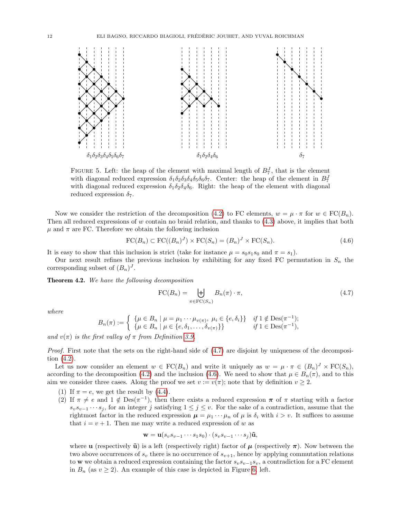

<span id="page-11-1"></span>FIGURE 5. Left: the heap of the element with maximal length of  $B_7^J$ , that is the element with diagonal reduced expression  $\delta_1 \delta_2 \delta_3 \delta_4 \delta_5 \delta_6 \delta_7$ . Center: the heap of the element in  $B_7^J$ with diagonal reduced expression  $\delta_1 \delta_2 \delta_4 \delta_6$ . Right: the heap of the element with diagonal reduced expression  $\delta_7$ .

Now we consider the restriction of the decomposition [\(4.2\)](#page-10-4) to FC elements,  $w = \mu \cdot \pi$  for  $w \in FC(B_n)$ . Then all reduced expressions of w contain no braid relation, and thanks to [\(4.3\)](#page-10-5) above, it implies that both  $\mu$  and  $\pi$  are FC. Therefore we obtain the following inclusion

<span id="page-11-3"></span>
$$
\text{FC}(B_n) \subset \text{FC}((B_n)^J) \times \text{FC}(S_n) = (B_n)^J \times \text{FC}(S_n). \tag{4.6}
$$

It is easy to show that this inclusion is strict (take for instance  $\mu = s_0 s_1 s_0$  and  $\pi = s_1$ ).

Our next result refines the previous inclusion by exhibiting for any fixed FC permutation in  $S_n$  the corresponding subset of  $(B_n)^J$ .

<span id="page-11-0"></span>Theorem 4.2. We have the following decomposition

<span id="page-11-2"></span>
$$
\text{FC}(B_n) = \biguplus_{\pi \in \text{FC}(S_n)} B_n(\pi) \cdot \pi,\tag{4.7}
$$

where

$$
B_n(\pi) := \begin{cases} \{ \mu \in B_n \mid \mu = \mu_1 \cdots \mu_{\nu(\pi)}, \ \mu_i \in \{e, \delta_i\} \} & \text{if } 1 \notin \text{Des}(\pi^{-1}); \\ \{ \mu \in B_n \mid \mu \in \{e, \delta_1, \ldots, \delta_{\nu(\pi)}\} \} & \text{if } 1 \in \text{Des}(\pi^{-1}), \end{cases}
$$

and  $v(\pi)$  is the first valley of  $\pi$  from Definition [3.9.](#page-9-3)

Proof. First note that the sets on the right-hand side of [\(4.7\)](#page-11-2) are disjoint by uniqueness of the decomposition [\(4.2\)](#page-10-4).

Let us now consider an element  $w \in \mathrm{FC}(B_n)$  and write it uniquely as  $w = \mu \cdot \pi \in (B_n)^J \times \mathrm{FC}(S_n)$ , according to the decomposition [\(4.2\)](#page-10-4) and the inclusion [\(4.6\)](#page-11-3). We need to show that  $\mu \in B_n(\pi)$ , and to this aim we consider three cases. Along the proof we set  $v := v(\pi)$ ; note that by definition  $v \geq 2$ .

- (1) If  $\pi = e$ , we get the result by [\(4.4\)](#page-10-3).
- (2) If  $\pi \neq e$  and  $1 \notin \text{Des}(\pi^{-1})$ , then there exists a reduced expression  $\pi$  of  $\pi$  starting with a factor  $s_v s_{v-1} \cdots s_j$ , for an integer j satisfying  $1 \leq j \leq v$ . For the sake of a contradiction, assume that the rightmost factor in the reduced expression  $\mu = \mu_1 \cdots \mu_n$  of  $\mu$  is  $\delta_i$  with  $i > v$ . It suffices to assume that  $i = v + 1$ . Then me may write a reduced expression of w as

$$
\mathbf{w} = \mathbf{u}(s_v s_{v-1} \cdots s_1 s_0) \cdot (s_v s_{v-1} \cdots s_j) \mathbf{\tilde{u}},
$$

where **u** (respectively  $\tilde{u}$ ) is a left (respectively right) factor of  $\mu$  (respectively  $\pi$ ). Now between the two above occurrences of  $s_v$  there is no occurrence of  $s_{v+1}$ , hence by applying commutation relations to w we obtain a reduced expression containing the factor  $s_v s_{v-1} s_v$ , a contradiction for a FC element in  $B_n$  (as  $v \ge 2$ ). An example of this case is depicted in Figure [6,](#page-12-0) left.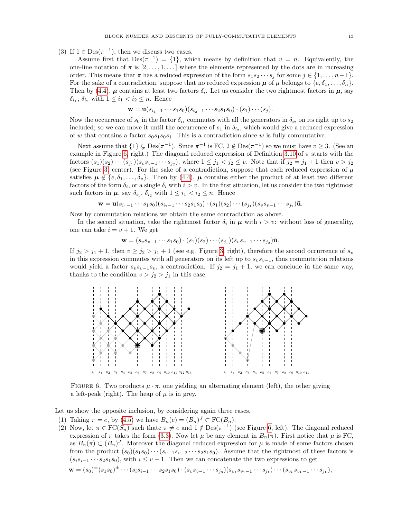(3) If  $1 \in Des(\pi^{-1})$ , then we discuss two cases.

Assume first that  $Des(\pi^{-1}) = \{1\}$ , which means by definition that  $v = n$ . Equivalently, the one-line notation of  $\pi$  is  $[2, \ldots, 1, \ldots]$  where the elements represented by the dots are in increasing order. This means that  $\pi$  has a reduced expression of the form  $s_1s_2 \cdots s_j$  for some  $j \in \{1, \ldots, n-1\}$ . For the sake of a contradiction, suppose that no reduced expression  $\mu$  of  $\mu$  belongs to  $\{e, \delta_1, \ldots, \delta_n\}$ . Then by [\(4.4\)](#page-10-3),  $\mu$  contains at least two factors  $\delta_i$ . Let us consider the two rightmost factors in  $\mu$ , say  $\delta_{i_1}, \, \delta_{i_2}$  with  $1 \leq i_1 < i_2 \leq n$ . Hence

$$
\mathbf{w} = \mathbf{u}(s_{i_1-1}\cdots s_1s_0)(s_{i_2-1}\cdots s_2s_1s_0)\cdot (s_1)\cdots (s_j).
$$

Now the occurrence of  $s_0$  in the factor  $\delta_{i_1}$  commutes with all the generators in  $\delta_{i_2}$  on its right up to  $s_2$ included; so we can move it until the occurrence of  $s_1$  in  $\delta_{i_2}$ , which would give a reduced expression of w that contains a factor  $s_0s_1s_0s_1$ . This is a contradiction since w is fully commutative.

Next assume that  $\{1\} \subsetneq \mathrm{Des}(\pi^{-1})$ . Since  $\pi^{-1}$  is FC,  $2 \notin \mathrm{Des}(\pi^{-1})$  so we must have  $v \geq 3$ . (See an example in Figure [6,](#page-12-0) right.) The diagonal reduced expression of Definition [3.10](#page-9-2) of  $\pi$  starts with the factors  $(s_1)(s_2)\cdots(s_{j_1})(s_v s_{v-1}\cdots s_{j_2})$ , where  $1 \leq j_1 < j_2 \leq v$ . Note that if  $j_2 = j_1 + 1$  then  $v > j_2$ (see Figure [3,](#page-8-0) center). For the sake of a contradiction, suppose that each reduced expression of  $\mu$ satisfies  $\mu \notin \{e, \delta_1, \ldots, \delta_v\}$ . Then by [\(4.4\)](#page-10-3),  $\mu$  contains either the product of at least two different factors of the form  $\delta_i$ , or a single  $\delta_i$  with  $i > v$ . In the first situation, let us consider the two rightmost such factors in  $\mu$ , say  $\delta_{i_1}$ ,  $\delta_{i_2}$  with  $1 \leq i_1 < i_2 \leq n$ . Hence

$$
\mathbf{w} = \mathbf{u}(s_{i_1-1}\cdots s_1s_0)(s_{i_2-1}\cdots s_2s_1s_0)\cdot (s_1)(s_2)\cdots (s_{j_1})(s_{v}s_{v-1}\cdots s_{j_2})\mathbf{\tilde{u}}.
$$

Now by commutation relations we obtain the same contradiction as above.

In the second situation, take the rightmost factor  $\delta_i$  in  $\mu$  with  $i > v$ : without loss of generality, one can take  $i = v + 1$ . We get

$$
\mathbf{w} = (s_v s_{v-1} \cdots s_1 s_0) \cdot (s_1)(s_2) \cdots (s_{j_1})(s_v s_{v-1} \cdots s_{j_2}) \tilde{\mathbf{u}}.
$$

If  $j_2 > j_1 + 1$ , then  $v \ge j_2 > j_1 + 1$  (see e.g. Figure [3,](#page-8-0) right), therefore the second occurrence of  $s_v$ in this expression commutes with all generators on its left up to  $s_v s_{v-1}$ , thus commutation relations would yield a factor  $s_v s_{v-1} s_v$ , a contradiction. If  $j_2 = j_1 + 1$ , we can conclude in the same way, thanks to the condition  $v > j_2 > j_1$  in this case.



<span id="page-12-0"></span>FIGURE 6. Two products  $\mu \cdot \pi$ , one yielding an alternating element (left), the other giving a left-peak (right). The heap of  $\mu$  is in grey.

Let us show the opposite inclusion, by considering again three cases.

- (1) Taking  $\pi = e$ , by [\(4.5\)](#page-10-6) we have  $B_n(e) = (B_n)^J \subset \mathrm{FC}(B_n)$ .
- (2) Now, let  $\pi \in \mathrm{FC}(S_n)$  such thate  $\pi \neq e$  and  $1 \notin \mathrm{Des}(\pi^{-1})$  (see Figure [6,](#page-12-0) left). The diagonal reduced expression of  $\pi$  takes the form [\(3.3\)](#page-9-0). Now let  $\mu$  be any element in  $B_n(\pi)$ . First notice that  $\mu$  is FC, as  $B_n(\pi) \subset (B_n)^J$ . Moreover the diagonal reduced expression for  $\mu$  is made of some factors chosen from the product  $(s_0)(s_1s_0)\cdots(s_{v-1}s_{v-2}\cdots s_2s_1s_0)$ . Assume that the rightmost of these factors is  $(s_i s_{i-1} \cdots s_2 s_1 s_0)$ , with  $i \le v-1$ . Then we can concatenate the two expressions to get

$$
\mathbf{w} = (s_0)^{\pm} (s_1 s_0)^{\pm} \cdots (s_i s_{i-1} \cdots s_2 s_1 s_0) \cdot (s_v s_{v-1} \cdots s_{j_0}) (s_{v_1} s_{v_1 - 1} \cdots s_{j_1}) \cdots (s_{v_k} s_{v_k - 1} \cdots s_{j_k}),
$$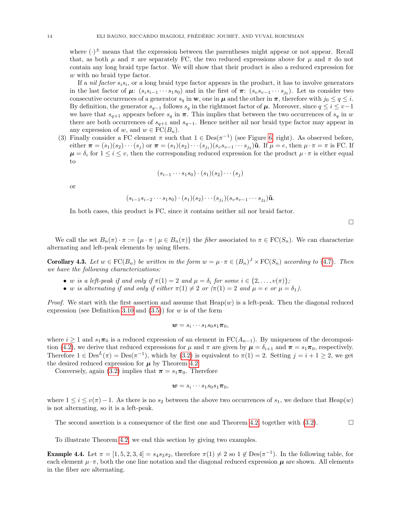where  $(\cdot)^{\pm}$  means that the expression between the parentheses might appear or not appear. Recall that, as both  $\mu$  and  $\pi$  are separately FC, the two reduced expressions above for  $\mu$  and  $\pi$  do not contain any long braid type factor. We will show that their product is also a reduced expression for w with no braid type factor.

If a *nil factor*  $s_i s_i$ , or a long braid type factor appears in the product, it has to involve generators in the last factor of  $\mu$ :  $(s_i s_{i-1} \cdots s_1 s_0)$  and in the first of  $\pi$ :  $(s_v s_{v-1} \cdots s_{j_0})$ . Let us consider two consecutive occurrences of a generator  $s_q$  in **w**, one in  $\mu$  and the other in  $\pi$ , therefore with  $j_0 \leq q \leq i$ . By definition, the generator  $s_{q-1}$  follows  $s_q$  in the rightmost factor of  $\mu$ . Moreover, since  $q \leq i \leq v-1$ we have that  $s_{q+1}$  appears before  $s_q$  in  $\pi$ . This implies that between the two occurrences of  $s_q$  in w there are both occurrences of  $s_{q+1}$  and  $s_{q-1}$ . Hence neither nil nor braid type factor may appear in any expression of w, and  $w \in \operatorname{FC}(B_n)$ .

(3) Finally consider a FC element  $\pi$  such that  $1 \in Des(\pi^{-1})$  (see Figure [6,](#page-12-0) right). As observed before, either  $\boldsymbol{\pi} = (s_1)(s_2) \cdots (s_j)$  or  $\boldsymbol{\pi} = (s_1)(s_2) \cdots (s_{j_1})(s_v s_{v-1} \cdots s_{j_2})$ **ũ**. If  $\mu = e$ , then  $\mu \cdot \boldsymbol{\pi} = \boldsymbol{\pi}$  is FC. If  $\mu = \delta_i$  for  $1 \leq i \leq v$ , then the corresponding reduced expression for the product  $\mu \cdot \pi$  is either equal to

$$
(s_{i-1}\cdots s_1s_0)\cdot (s_1)(s_2)\cdots (s_j)
$$

or

$$
(s_{i-1}s_{i-2}\cdots s_1s_0)\cdot (s_1)(s_2)\cdots (s_{j_1})(s_v s_{v-1}\cdots s_{j_2})\tilde{\mathbf{u}}.
$$

In both cases, this product is FC, since it contains neither nil nor braid factor.

 $\Box$ 

We call the set  $B_n(\pi) \cdot \pi := {\mu \cdot \pi \mid \mu \in B_n(\pi)}$  the fiber associated to  $\pi \in FC(S_n)$ . We can characterize alternating and left-peak elements by using fibers.

<span id="page-13-0"></span>**Corollary 4.3.** Let  $w \in \text{FC}(B_n)$  be written in the form  $w = \mu \cdot \pi \in (B_n)^J \times \text{FC}(S_n)$  according to [\(4.7\)](#page-11-2). Then we have the following characterizations:

- w is a left-peak if and only if  $\pi(1) = 2$  and  $\mu = \delta_i$  for some  $i \in \{2, ..., v(\pi)\}\;$
- w is alternating if and only if either  $\pi(1) \neq 2$  or  $(\pi(1) = 2$  and  $\mu = e$  or  $\mu = \delta_1$ ).

*Proof.* We start with the first assertion and assume that  $Heap(w)$  is a left-peak. Then the diagonal reduced expression (see Definition [3.10](#page-9-2) and  $(3.5)$ ) for w is of the form

$$
\mathbf{w}=s_i\cdots s_1s_0s_1\pi_0,
$$

where  $i \geq 1$  and  $s_1\pi_0$  is a reduced expression of an element in  $FC(A_{n-1})$ . By uniqueness of the decomposi-tion [\(4.2\)](#page-10-4), we derive that reduced expressions for  $\mu$  and  $\pi$  are given by  $\mu = \delta_{i+1}$  and  $\pi = s_1 \pi_0$ , respectively. Therefore  $1 \in \text{Des}^L(\pi) = \text{Des}(\pi^{-1})$ , which by  $(3.2)$  is equivalent to  $\pi(1) = 2$ . Setting  $j = i + 1 \geq 2$ , we get the desired reduced expression for  $\mu$  by Theorem [4.2.](#page-11-0)

Conversely, again [\(3.2\)](#page-9-4) implies that  $\pi = s_1 \pi_0$ . Therefore

$$
\mathbf{w}=s_i\cdots s_1s_0s_1\pi_0,
$$

where  $1 \leq i \leq v(\pi) - 1$ . As there is no  $s_2$  between the above two occurrences of  $s_1$ , we deduce that Heap(w) is not alternating, so it is a left-peak.

The second assertion is a consequence of the first one and Theorem [4.2,](#page-11-0) together with  $(3.2)$ .

To illustrate Theorem [4.2,](#page-11-0) we end this section by giving two examples.

**Example 4.4.** Let  $\pi = [1, 5, 2, 3, 4] = s_4 s_3 s_2$ , therefore  $\pi(1) \neq 2$  so  $1 \notin \text{Des}(\pi^{-1})$ . In the following table, for each element  $\mu \cdot \pi$ , both the one line notation and the diagonal reduced expression  $\mu$  are shown. All elements in the fiber are alternating.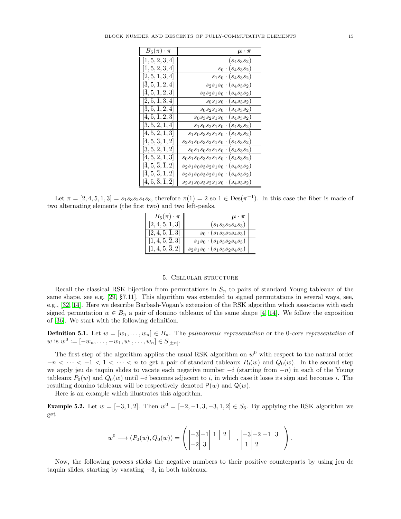| $B_5(\pi) \cdot \pi$          | $\mu \cdot \pi$                           |
|-------------------------------|-------------------------------------------|
| [1, 5, 2, 3, 4]               | $(s_4s_3s_2)$                             |
| $[\overline{1}, 5, 2, 3, 4]$  | $s_0 \cdot (s_4 s_3 s_2)$                 |
| [2, 5, 1, 3, 4]               | $s_1s_0 \cdot (s_4s_3s_2)$                |
| [3, 5, 1, 2, 4]               | $s_2s_1s_0 \cdot (s_4s_3s_2)$             |
| [4, 5, 1, 2, 3]               | $s_3s_2s_1s_0 \cdot (s_4s_3s_2)$          |
| $[\bar{2}, 5, \bar{1}, 3, 4]$ | $s_0s_1s_0 \cdot (s_4s_3s_2)$             |
| $[\bar{3}, 5, \bar{1}, 2, 4]$ | $s_0s_2s_1s_0 \cdot (s_4s_3s_2)$          |
| $[\bar{4}, 5, \bar{1}, 2, 3]$ | $s_0s_3s_2s_1s_0 \cdot (s_4s_3s_2)$       |
| [3, 5, 2, 1, 4]               | $s_1s_0s_2s_1s_0 \cdot (s_4s_3s_2)$       |
| [4, 5, 2, 1, 3]               | $s_1s_0s_3s_2s_1s_0 \cdot (s_4s_3s_2)$    |
| [4, 5, 3, 1, 2]               | $s_2s_1s_0s_3s_2s_1s_0 \cdot (s_4s_3s_2)$ |
| [3, 5, 2, 1, 2]               | $s_0s_1s_0s_2s_1s_0 \cdot (s_4s_3s_2)$    |
| [4, 5, 2, 1, 3]               | $s_0s_1s_0s_3s_2s_1s_0\cdot(s_4s_3s_2)$   |
| [4, 5, 3, 1, 2]               | $s_2s_1s_0s_3s_2s_1s_0 \cdot (s_4s_3s_2)$ |
| $\overline{[4,5,3,1,2]}$      | $s_2s_1s_0s_3s_2s_1s_0 \cdot (s_4s_3s_2)$ |
| [4, 5, 3, 1, 2]               | $s_2s_1s_0s_3s_2s_1s_0 \cdot (s_4s_3s_2)$ |

Let  $\pi = [2, 4, 5, 1, 3] = s_1 s_3 s_2 s_4 s_3$ , therefore  $\pi(1) = 2$  so  $1 \in Des(\pi^{-1})$ . In this case the fiber is made of two alternating elements (the first two) and two left-peaks.

| $B_5(\pi) \cdot \pi$ | $\mu \cdot \pi$                     |  |
|----------------------|-------------------------------------|--|
| [2, 4, 5, 1, 3]      | $(s_1s_3s_2s_4s_3)$                 |  |
| [2, 4, 5, 1, 3]      | $s_0 \cdot (s_1 s_3 s_2 s_4 s_3)$   |  |
| [1, 4, 5, 2, 3]      | $s_1s_0 \cdot (s_1s_3s_2s_4s_3)$    |  |
| , 4, 5, 3, 2         | $s_2s_1s_0 \cdot (s_1s_3s_2s_4s_3)$ |  |

## 5. Cellular structure

<span id="page-14-0"></span>Recall the classical RSK bijection from permutations in  $S_n$  to pairs of standard Young tableaux of the same shape, see e.g. [\[29,](#page-24-7) §7.11]. This algorithm was extended to signed permutations in several ways, see, e.g., [\[32,](#page-24-21) [14\]](#page-24-22). Here we describe Barbash-Vogan's extension of the RSK algorithm which associates with each signed permutation  $w \in B_n$  a pair of domino tableaux of the same shape [\[4,](#page-23-5) [14\]](#page-24-22). We follow the exposition of [\[36\]](#page-24-23). We start with the following definition.

**Definition 5.1.** Let  $w = [w_1, \ldots, w_n] \in B_n$ . The palindromic representation or the 0-core representation of  $w$  is  $w^0 := [-w_n, \ldots, -w_1, w_1, \ldots, w_n] \in S_{[\pm n]}.$ 

The first step of the algorithm applies the usual RSK algorithm on  $w^0$  with respect to the natural order  $-n < \cdots < -1 < 1 < \cdots < n$  to get a pair of standard tableaux  $P_0(w)$  and  $Q_0(w)$ . In the second step we apply jeu de taquin slides to vacate each negative number  $-i$  (starting from  $-n$ ) in each of the Young tableaux  $P_0(w)$  and  $Q_0(w)$  until  $-i$  becomes adjacent to i, in which case it loses its sign and becomes i. The resulting domino tableaux will be respectively denoted  $P(w)$  and  $Q(w)$ .

Here is an example which illustrates this algorithm.

**Example 5.2.** Let  $w = [-3, 1, 2]$ . Then  $w^0 = [-2, -1, 3, -3, 1, 2] \in S_6$ . By applying the RSK algorithm we get

$$
w^0 \longrightarrow (P_0(w), Q_0(w)) = \left(\begin{array}{cc} -3 & 1 & 1 & 2 \\ -2 & 3 & \end{array}\right), \begin{array}{c} -3 & -2 & -1 & 3 \\ 1 & 2 & \end{array}\right).
$$

Now, the following process sticks the negative numbers to their positive counterparts by using jeu de taquin slides, starting by vacating −3, in both tableaux.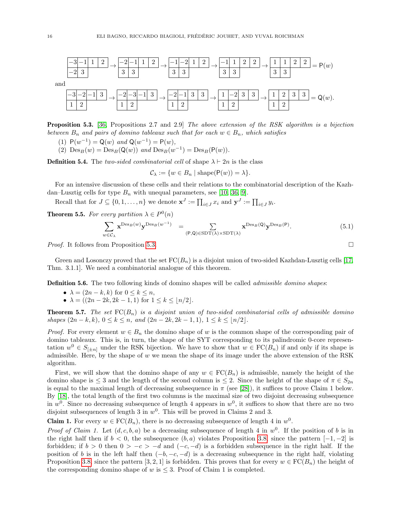

<span id="page-15-1"></span>Proposition 5.3. [\[36,](#page-24-23) Propositions 2.7 and 2.9] The above extension of the RSK algorithm is a bijection between  $B_n$  and pairs of domino tableaux such that for each  $w \in B_n$ , which satisfies

- (1)  $P(w^{-1}) = Q(w)$  and  $Q(w^{-1}) = P(w)$ ,
- (2)  $Des_B(w) = Des_B(Q(w))$  and  $Des_B(w^{-1}) = Des_B(P(w)).$

**Definition 5.4.** The two-sided combinatorial cell of shape  $\lambda \vdash 2n$  is the class

 $\mathcal{C}_{\lambda} := \{w \in B_n \mid \mathrm{shape}(\mathsf{P}(w)) = \lambda\}.$ 

For an intensive discussion of these cells and their relations to the combinatorial description of the Kazhdan–Lusztig cells for type  $B_n$  with unequal parameters, see [\[10,](#page-24-24) [36,](#page-24-23) [9\]](#page-24-25).

Recall that for  $J \subseteq \{0, 1, \ldots, n\}$  we denote  $\mathbf{x}^J := \prod_{i \in J} x_i$  and  $\mathbf{y}^J := \prod_{i \in J} y_i$ .

**Theorem 5.5.** For every partition  $\lambda \in P^0(n)$ 

<span id="page-15-2"></span>
$$
\sum_{w \in \mathcal{C}_{\lambda}} \mathbf{x}^{\mathrm{Des}_B(w)} \mathbf{y}^{\mathrm{Des}_B(w^{-1})} = \sum_{(\mathsf{P}, \mathsf{Q}) \in \mathrm{SDT}(\lambda) \times \mathrm{SDT}(\lambda)} \mathbf{x}^{\mathrm{Des}_B(\mathsf{Q})} \mathbf{y}^{\mathrm{Des}_B(\mathsf{P})}.
$$
(5.1)

*Proof.* It follows from Proposition [5.3.](#page-15-1)  $\Box$ 

Green and Losonczy proved that the set  $FC(B_n)$  is a disjoint union of two-sided Kazhdan-Lusztig cells [\[17,](#page-24-5) Thm. 3.1.1]. We need a combinatorial analogue of this theorem.

**Definition 5.6.** The two following kinds of domino shapes will be called *admissible domino shapes*:

- $\lambda = (2n k, k)$  for  $0 \leq k \leq n$ ,
- $\lambda = ((2n 2k, 2k 1, 1)$  for  $1 \leq k \leq \lfloor n/2 \rfloor$ .

<span id="page-15-0"></span>**Theorem 5.7.** The set  $FC(B_n)$  is a disjoint union of two-sided combinatorial cells of admissible domino shapes  $(2n - k, k)$ ,  $0 \le k \le n$ , and  $(2n - 2k, 2k - 1, 1)$ ,  $1 \le k \le \lfloor n/2 \rfloor$ .

*Proof.* For every element  $w \in B_n$  the domino shape of w is the common shape of the corresponding pair of domino tableaux. This is, in turn, the shape of the SYT corresponding to its palindromic 0-core representation  $w^0 \in S_{[\pm n]}$  under the RSK bijection. We have to show that  $w \in \mathrm{FC}(B_n)$  if and only if its shape is admissible. Here, by the shape of w we mean the shape of its image under the above extension of the RSK algorithm.

First, we will show that the domino shape of any  $w \in \mathrm{FC}(B_n)$  is admissible, namely the height of the domino shape is  $\leq 3$  and the length of the second column is  $\leq 2$ . Since the height of the shape of  $\pi \in S_{2n}$ is equal to the maximal length of decreasing subsequence in  $\pi$  (see [\[28\]](#page-24-26)), it suffices to prove Claim 1 below. By [\[18\]](#page-24-27), the total length of the first two columns is the maximal size of two disjoint decreasing subsequence in  $w^0$ . Since no decreasing subsequence of length 4 appears in  $w^0$ , it suffices to show that there are no two disjoint subsequences of length 3 in  $w^0$ . This will be proved in Claims 2 and 3.

**Claim 1.** For every  $w \in \text{FC}(B_n)$ , there is no decreasing subsequence of length 4 in  $w^0$ .

*Proof of Claim 1.* Let  $(d, c, b, a)$  be a decreasing subsequence of length 4 in  $w^0$ . If the position of b is in the right half then if  $b < 0$ , the subsequence  $(b, a)$  violates Proposition [3.8,](#page-9-1) since the pattern  $[-1, -2]$  is forbidden; if  $b > 0$  then  $0 > -c > -d$  and  $(-c, -d)$  is a forbidden subsequence in the right half. If the position of b is in the left half then  $(-b, -c, -d)$  is a decreasing subsequence in the right half, violating Proposition [3.8,](#page-9-1) since the pattern [3, 2, 1] is forbidden. This proves that for every  $w \in \operatorname{FC}(B_n)$  the height of the corresponding domino shape of w is  $\leq$  3. Proof of Claim 1 is completed.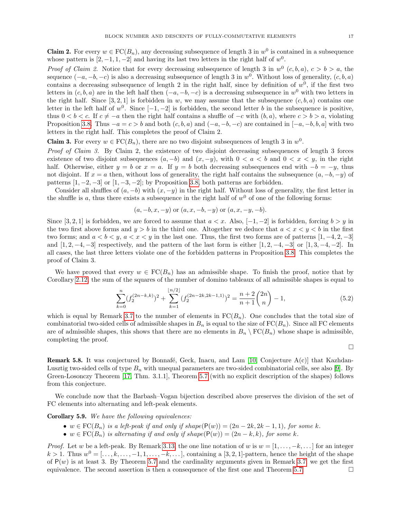**Claim 2.** For every  $w \in \text{FC}(B_n)$ , any decreasing subsequence of length 3 in  $w^0$  is contained in a subsequence whose pattern is  $[2, -1, 1, -2]$  and having its last two letters in the right half of  $w^0$ .

*Proof of Claim 2.* Notice that for every decreasing subsequence of length 3 in  $w^0$   $(c, b, a)$ ,  $c > b > a$ , the sequence  $(-a, -b, -c)$  is also a decreasing subsequence of length 3 in  $w^0$ . Without loss of generality,  $(c, b, a)$ contains a decreasing subsequence of length 2 in the right half, since by definition of  $w^0$ , if the first two letters in  $(c, b, a)$  are in the left half then  $(-a, -b, -c)$  is a decreasing subsequence in w<sup>0</sup> with two letters in the right half. Since  $[3, 2, 1]$  is forbidden in w, we may assume that the subsequence  $(c, b, a)$  contains one letter in the left half of  $w^0$ . Since  $[-1, -2]$  is forbidden, the second letter b in the subsequence is positive, thus  $0 < b < c$ . If  $c \neq -a$  then the right half contains a shuffle of  $-c$  with  $(b, a)$ , where  $c > b > a$ , violating Proposition [3.8.](#page-9-1) Thus  $-a = c > b$  and both  $(c, b, a)$  and  $(-a, -b, -c)$  are contained in  $[-a, -b, b, a]$  with two letters in the right half. This completes the proof of Claim 2.

**Claim 3.** For every  $w \in \text{FC}(B_n)$ , there are no two disjoint subsequences of length 3 in  $w^0$ .

Proof of Claim 3. By Claim 2, the existence of two disjoint decreasing subsequences of length 3 forces existence of two disjoint subsequences  $(a, -b)$  and  $(x, -y)$ , with  $0 < a < b$  and  $0 < x < y$ , in the right half. Otherwise, either  $y = b$  or  $x = a$ . If  $y = b$  both decreasing subsequences end with  $-b = -y$ , thus not disjoint. If  $x = a$  then, without loss of generality, the right half contains the subsequence  $(a, -b, -y)$  of patterns  $[1, -2, -3]$  or  $[1, -3, -2]$ ; by Proposition [3.8,](#page-9-1) both patterns are forbidden.

Consider all shuffles of  $(a, -b)$  with  $(x, -y)$  in the right half. Without loss of generality, the first letter in the shuffle is a, thus there exists a subsequence in the right half of  $w<sup>0</sup>$  of one of the following forms:

$$
(a, -b, x, -y)
$$
 or  $(a, x, -b, -y)$  or  $(a, x, -y, -b)$ .

Since [3, 2, 1] is forbidden, we are forced to assume that  $a < x$ . Also, [-1, -2] is forbidden, forcing  $b > y$  in the two first above forms and  $y > b$  in the third one. Altogether we deduce that  $a < x < y < b$  in the first two forms; and  $a < b < y$ ,  $a < x < y$  in the last one. Thus, the first two forms are of patterns [1, -4, 2, -3] and  $[1, 2, -4, -3]$  respectively, and the pattern of the last form is either  $[1, 2, -4, -3]$  or  $[1, 3, -4, -2]$ . In all cases, the last three letters violate one of the forbidden patterns in Proposition [3.8.](#page-9-1) This completes the proof of Claim 3.

We have proved that every  $w \in \mathrm{FC}(B_n)$  has an admissible shape. To finish the proof, notice that by Corollary [2.12,](#page-5-2) the sum of the squares of the number of domino tableaux of all admissible shapes is equal to

$$
\sum_{k=0}^{n} (f_2^{(2n-k,k)})^2 + \sum_{k=1}^{\lfloor n/2 \rfloor} (f_2^{(2n-2k,2k-1,1)})^2 = \frac{n+2}{n+1} {2n \choose n} - 1,\tag{5.2}
$$

which is equal by Remark [3.7](#page-9-5) to the number of elements in  $FC(B_n)$ . One concludes that the total size of combinatorial two-sided cells of admissible shapes in  $B_n$  is equal to the size of  $FC(B_n)$ . Since all FC elements are of admissible shapes, this shows that there are no elements in  $B_n \setminus \text{FC}(B_n)$  whose shape is admissible, completing the proof.

 $\Box$ 

<span id="page-16-1"></span>**Remark 5.8.** It was conjectured by Bonnafé, Geck, Inacu, and Lam  $[10,$  Conjecture  $A(c)]$  that Kazhdan-Lusztig two-sided cells of type  $B_n$  with unequal parameters are two-sided combinatorial cells, see also [\[9\]](#page-24-25). By Green-Losonczy Theorem [\[17,](#page-24-5) Thm. 3.1.1], Theorem [5.7](#page-15-0) (with no explicit description of the shapes) follows from this conjecture.

We conclude now that the Barbash–Vogan bijection described above preserves the division of the set of FC elements into alternating and left-peak elements.

#### <span id="page-16-0"></span>Corollary 5.9. We have the following equivalences:

- w  $\in$  FC( $B_n$ ) is a left-peak if and only if shape( $P(w)$ ) =  $(2n-2k, 2k-1, 1)$ , for some k.
- $w \in \mathrm{FC}(B_n)$  is alternating if and only if shape $(\mathsf{P}(w)) = (2n k, k)$ , for some k.

*Proof.* Let w be a left-peak. By Remark [3.13,](#page-10-7) the one line notation of w is  $w = [1, \ldots, -k, \ldots]$  for an integer  $k > 1$ . Thus  $w^0 = [\ldots, k, \ldots, -1, 1, \ldots, -k, \ldots]$ , containing a [3, 2, 1]-pattern, hence the height of the shape of  $P(w)$  is at least 3. By Theorem [5.7](#page-15-0) and the cardinality arguments given in Remark [3.7,](#page-9-5) we get the first equivalence. The second assertion is then a consequence of the first one and Theorem [5.7.](#page-15-0)  $\Box$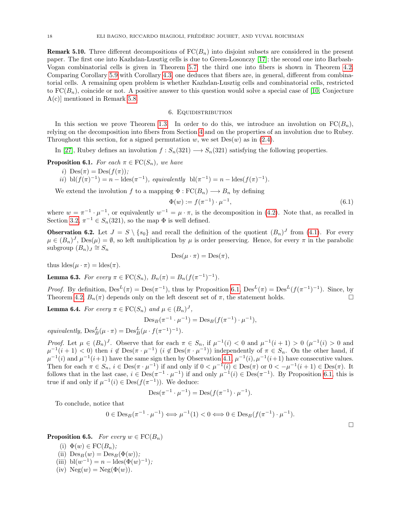**Remark 5.10.** Three different decompositions of  $FC(B_n)$  into disjoint subsets are considered in the present paper. The first one into Kazhdan-Lusztig cells is due to Green-Losonczy [\[17\]](#page-24-5); the second one into Barbash-Vogan combinatorial cells is given in Theorem [5.7;](#page-15-0) the third one into fibers is shown in Theorem [4.2.](#page-11-0) Comparing Corollary [5.9](#page-16-0) with Corollary [4.3,](#page-13-0) one deduces that fibers are, in general, different from combinatorial cells. A remaining open problem is whether Kazhdan-Lusztig cells and combinatorial cells, restricted to  $FC(B_n)$ , coincide or not. A positive answer to this question would solve a special case of [\[10,](#page-24-24) Conjecture A(c)] mentioned in Remark [5.8.](#page-16-1)

#### 6. Equidistribution

<span id="page-17-0"></span>In this section we prove Theorem [1.3.](#page-1-2) In order to do this, we introduce an involution on  $\operatorname{FC}(B_n)$ , relying on the decomposition into fibers from Section [4](#page-10-0) and on the properties of an involution due to Rubey. Throughout this section, for a signed permutation w, we set  $Des(w)$  as in [\(2.4\)](#page-3-2).

In [\[27\]](#page-24-15), Rubey defines an involution  $f : S_n(321) \longrightarrow S_n(321)$  satisfying the following properties.

<span id="page-17-1"></span>**Proposition 6.1.** For each  $\pi \in \text{FC}(S_n)$ , we have

i)  $\mathrm{Des}(\pi) = \mathrm{Des}(f(\pi))$ ;

$$
ii) \ \text{bl}(f(\pi)^{-1}) = n - \text{ldes}(\pi^{-1}), \ \text{equivalently} \ \ \text{bl}(\pi^{-1}) = n - \text{ldes}(f(\pi)^{-1}).
$$

We extend the involution f to a mapping  $\Phi : FC(B_n) \longrightarrow B_n$  by defining

$$
\Phi(w) := f(\pi^{-1}) \cdot \mu^{-1},\tag{6.1}
$$

where  $w = \pi^{-1} \cdot \mu^{-1}$ , or equivalently  $w^{-1} = \mu \cdot \pi$ , is the decomposition in [\(4.2\)](#page-10-4). Note that, as recalled in Section [3.2,](#page-9-6)  $\pi^{-1} \in S_n(321)$ , so the map  $\Phi$  is well defined.

<span id="page-17-4"></span>**Observation 6.2.** Let  $J = S \setminus \{s_0\}$  and recall the definition of the quotient  $(B_n)^J$  from [\(4.1\)](#page-10-2). For every  $\mu \in (B_n)^J$ ,  $\text{Des}(\mu) = \emptyset$ , so left multiplication by  $\mu$  is order preserving. Hence, for every  $\pi$  in the parabolic subgroup  $(B_n)_J \cong S_n$ 

$$
Des(\mu \cdot \pi) = Des(\pi),
$$

thus  $\text{ldes}(\mu \cdot \pi) = \text{ldes}(\pi)$ .

<span id="page-17-2"></span>**Lemma 6.3.** For every  $\pi \in \text{FC}(S_n)$ ,  $B_n(\pi) = B_n(f(\pi^{-1})^{-1})$ .

*Proof.* By definition,  $\text{Des}^L(\pi) = \text{Des}(\pi^{-1})$ , thus by Proposition [6.1,](#page-17-1)  $\text{Des}^L(\pi) = \text{Des}^L(f(\pi^{-1})^{-1})$ . Since, by Theorem [4.2,](#page-11-0)  $B_n(\pi)$  depends only on the left descent set of  $\pi$ , the statement holds.

<span id="page-17-3"></span>**Lemma 6.4.** For every  $\pi \in \text{FC}(S_n)$  and  $\mu \in (B_n)^J$ ,

$$
\mathrm{Des}_B(\pi^{-1} \cdot \mu^{-1}) = \mathrm{Des}_B(f(\pi^{-1}) \cdot \mu^{-1}),
$$

equivalently,  $\mathrm{Des}^L_B(\mu \cdot \pi) = \mathrm{Des}^L_B(\mu \cdot f(\pi^{-1})^{-1}).$ 

Proof. Let  $\mu \in (B_n)^J$ . Observe that for each  $\pi \in S_n$ , if  $\mu^{-1}(i) < 0$  and  $\mu^{-1}(i+1) > 0$   $(\mu^{-1}(i) > 0$  and  $\mu^{-1}(i+1) < 0$ ) then  $i \notin \text{Des}(\pi \cdot \mu^{-1})$   $(i \notin \text{Des}(\pi \cdot \mu^{-1}))$  independently of  $\pi \in S_n$ . On the other hand, if  $\mu^{-1}(i)$  and  $\mu^{-1}(i+1)$  have the same sign then by Observation [4.1,](#page-10-8)  $\mu^{-1}(i), \mu^{-1}(i+1)$  have consecutive values. Then for each  $\pi \in S_n$ ,  $i \in \text{Des}(\pi \cdot \mu^{-1})$  if and only if  $0 < \mu^{-1}(i) \in \text{Des}(\pi)$  or  $0 < -\mu^{-1}(i+1) \in \text{Des}(\pi)$ . It follows that in the last case,  $i \in Des(\pi^{-1} \cdot \mu^{-1})$  if and only  $\mu^{-1}(i) \in Des(\pi^{-1})$ . By Proposition [6.1,](#page-17-1) this is true if and only if  $\mu^{-1}(i) \in \text{Des}(f(\pi^{-1}))$ . We deduce:

$$
Des(\pi^{-1} \cdot \mu^{-1}) = Des(f(\pi^{-1}) \cdot \mu^{-1}).
$$

To conclude, notice that

$$
0 \in \mathrm{Des}_B(\pi^{-1} \cdot \mu^{-1}) \Longleftrightarrow \mu^{-1}(1) < 0 \Longleftrightarrow 0 \in \mathrm{Des}_B(f(\pi^{-1}) \cdot \mu^{-1}).
$$

 $\Box$ 

<span id="page-17-5"></span>**Proposition 6.5.** For every  $w \in \text{FC}(B_n)$ 

(i)  $\Phi(w) \in \text{FC}(B_n)$ ; (ii)  $\mathrm{Des}_B(w) = \mathrm{Des}_B(\Phi(w));$ (iii)  $bl(w^{-1}) = n - \text{ldes}(\Phi(w)^{-1});$ (iv)  $Neg(w) = Neg(\Phi(w)).$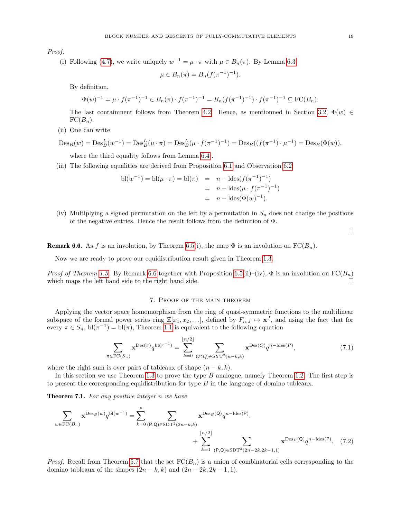Proof.

(i) Following [\(4.7\)](#page-11-2), we write uniquely  $w^{-1} = \mu \cdot \pi$  with  $\mu \in B_n(\pi)$ . By Lemma [6.3,](#page-17-2)

$$
\mu \in B_n(\pi) = B_n(f(\pi^{-1})^{-1}).
$$

By definition,

$$
\Phi(w)^{-1} = \mu \cdot f(\pi^{-1})^{-1} \in B_n(\pi) \cdot f(\pi^{-1})^{-1} = B_n(f(\pi^{-1})^{-1}) \cdot f(\pi^{-1})^{-1} \subseteq \text{FC}(B_n).
$$

The last containment follows from Theorem [4.2.](#page-11-0) Hence, as mentionned in Section [3.2,](#page-9-6)  $\Phi(w) \in$  $FC(B_n)$ .

(ii) One can write

$$
\mathrm{Des}_B(w) = \mathrm{Des}_B^L(w^{-1}) = \mathrm{Des}_B^L(\mu \cdot \pi) = \mathrm{Des}_B^L(\mu \cdot f(\pi^{-1})^{-1}) = \mathrm{Des}_B((f(\pi^{-1}) \cdot \mu^{-1}) = \mathrm{Des}_B(\Phi(w)),
$$

where the third equality follows from Lemma [6.4](#page-17-3) .

(iii) The following equalities are derived from Proposition [6.1](#page-17-1) and Observation [6.2:](#page-17-4)

bl(w<sup>-1</sup>) = bl(
$$
\mu \cdot \pi
$$
) = bl( $\pi$ ) =  $n - \text{ldes}(f(\pi^{-1})^{-1})$   
=  $n - \text{ldes}(\mu \cdot f(\pi^{-1})^{-1})$   
=  $n - \text{ldes}(\Phi(w)^{-1}).$ 

(iv) Multiplying a signed permutation on the left by a permutation in  $S_n$  does not change the positions of the negative entries. Hence the result follows from the definition of Φ.

 $\hfill \square$ 

<span id="page-18-1"></span>**Remark 6.6.** As f is an involution, by Theorem [6.5\(](#page-17-5)i), the map  $\Phi$  is an involution on  $FC(B_n)$ .

Now we are ready to prove our equidistribution result given in Theorem [1.3.](#page-1-2)

*Proof of Theorem [1.3.](#page-1-2)* By Remark [6.6](#page-18-1) together with Proposition [6.5\(](#page-17-5)ii)–(iv),  $\Phi$  is an involution on  $FC(B_n)$ which maps the left hand side to the right hand side.  $\square$ 

## 7. Proof of the main theorem

<span id="page-18-0"></span>Applying the vector space homomorphism from the ring of quasi-symmetric functions to the multilinear subspace of the formal power series ring  $\mathbb{Z}[x_1, x_2, \ldots]$ , defined by  $F_{n,J} \mapsto \mathbf{x}^J$ , and using the fact that for every  $\pi \in S_n$ ,  $bl(\pi^{-1}) = bl(\pi)$ , Theorem [1.1](#page-1-0) is equivalent to the following equation

<span id="page-18-3"></span>
$$
\sum_{\pi \in \text{FC}(S_n)} \mathbf{x}^{\text{Des}(\pi)} q^{\text{bl}(\pi^{-1})} = \sum_{k=0}^{\lfloor n/2 \rfloor} \sum_{(P,Q) \in \text{SYT}^2(n-k,k)} \mathbf{x}^{\text{Des}(Q)} q^{n-\text{ldes}(P)},\tag{7.1}
$$

where the right sum is over pairs of tableaux of shape  $(n - k, k)$ .

In this section we use Theorem [1.3](#page-1-2) to prove the type  $B$  analogue, namely Theorem [1.2.](#page-1-1) The first step is to present the corresponding equidistribution for type  $B$  in the language of domino tableaux.

<span id="page-18-2"></span>Theorem 7.1. For any positive integer n we have

$$
\sum_{w \in \text{FC}(B_n)} \mathbf{x}^{\text{Des}_B(w)} q^{\text{bl}(w^{-1})} = \sum_{k=0}^n \sum_{(\mathsf{P},\mathsf{Q}) \in \text{SDT}^2(2n-k,k)} \mathbf{x}^{\text{Des}_B(\mathsf{Q})} q^{n-\text{ldes}(\mathsf{P})}.
$$
\n
$$
+ \sum_{k=1}^{\lfloor n/2 \rfloor} \sum_{(\mathsf{P},\mathsf{Q}) \in \text{SDT}^2(2n-2k,2k-1,1)} \mathbf{x}^{\text{Des}_B(\mathsf{Q})} q^{n-\text{ldes}(\mathsf{P})}. \tag{7.2}
$$

*Proof.* Recall from Theorem [5.7](#page-15-0) that the set  $FC(B_n)$  is a union of combinatorial cells corresponding to the domino tableaux of the shapes  $(2n - k, k)$  and  $(2n - 2k, 2k - 1, 1)$ .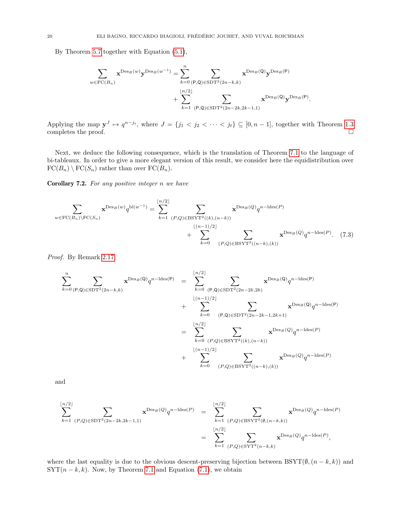By Theorem [5.7](#page-15-0) together with Equation [\(5.1\)](#page-15-2),

$$
\begin{aligned} \sum_{w \in \mathrm{FC}(B_n)} \mathbf{x}^{\mathrm{Des}_B(w)}\mathbf{y}^{\mathrm{Des}_B(w^{-1})} &= \sum_{k=0}^n \sum_{(\mathsf{P},\mathsf{Q}) \in \mathrm{SDT}^2(2n-k,k)} \mathbf{x}^{\mathrm{Des}_B(\mathsf{Q})}\mathbf{y}^{\mathrm{Des}_B(\mathsf{P})}\\ &+ \sum_{k=1}^{\lfloor n/2 \rfloor} \sum_{(\mathsf{P},\mathsf{Q}) \in \mathrm{SDT}^2(2n-2k,2k-1,1)} \mathbf{x}^{\mathrm{Des}_B(\mathsf{Q})}\mathbf{y}^{\mathrm{Des}_B(\mathsf{P})}. \end{aligned}
$$

Applying the map  $y^J \mapsto q^{n-j_t}$ , where  $J = \{j_1 < j_2 < \cdots < j_t\} \subseteq [0, n-1]$ , together with Theorem [1.3](#page-1-2) completes the proof.  $\Box$ 

Next, we deduce the following consequence, which is the translation of Theorem [7.1](#page-18-2) to the language of bi-tableaux. In order to give a more elegant version of this result, we consider here the equidistribution over  $FC(B_n) \setminus FC(S_n)$  rather than over  $FC(B_n)$ .

<span id="page-19-1"></span>Corollary 7.2. For any positive integer n we have

$$
\sum_{w \in \text{FC}(B_n) \backslash \text{FC}(S_n)} \mathbf{x}^{\text{Des}_B(w)} q^{\text{bl}(w^{-1})} = \sum_{k=1}^{\lfloor n/2 \rfloor} \sum_{(P,Q) \in \text{BSYT}^2((k),(n-k))} \mathbf{x}^{\text{Des}_B(Q)} q^{n-\text{ldes}(P)} + \sum_{k=0}^{\lfloor (n-1)/2 \rfloor} \sum_{(P,Q) \in \text{BSYT}^2((n-k),(k))} \mathbf{x}^{\text{Des}_B(Q)} q^{n-\text{ldes}(P)}.
$$
(7.3)

Proof. By Remark [2.17,](#page-7-3)

<span id="page-19-0"></span>
$$
\sum_{k=0}^{n} \sum_{(P,Q) \in \text{SDT}^2(2n-k,k)} \mathbf{x}^{\text{Des}_B(Q)} q^{n-\text{ldes}(P)} = \sum_{k=0}^{\lfloor n/2 \rfloor} \sum_{(P,Q) \in \text{SDT}^2(2n-2k,2k)} \mathbf{x}^{\text{Des}_B(Q)} q^{n-\text{ldes}(P)} + \sum_{k=0}^{\lfloor n/2 \rfloor} \sum_{(P,Q) \in \text{SDT}^2(2n-2k-1,2k+1)} \mathbf{x}^{\text{Des}_B(Q)} q^{n-\text{ldes}(P)} + \sum_{k=0}^{\lfloor n/2 \rfloor} \sum_{(P,Q) \in \text{BSYT}^2((k),(n-k))} \mathbf{x}^{\text{Des}_B(Q)} q^{n-\text{ldes}(P)} + \sum_{k=0}^{\lfloor n/2 \rfloor} \sum_{(P,Q) \in \text{BSYT}^2((n-k),(k))} \mathbf{x}^{\text{Des}_B(Q)} q^{n-\text{ldes}(P)}
$$

and

$$
\sum_{k=1}^{\lfloor n/2 \rfloor} \sum_{(P,Q) \in \text{SDT}^2(2n-2k,2k-1,1)} \mathbf{x}^{\text{Des}_B(Q)} q^{n-\text{ldes}(P)} = \sum_{k=1}^{\lfloor n/2 \rfloor} \sum_{(P,Q) \in \text{BSYT}^2(\emptyset,(n-k,k))} \mathbf{x}^{\text{Des}_B(Q)} q^{n-\text{ldes}(P)}
$$

$$
= \sum_{k=1}^{\lfloor n/2 \rfloor} \sum_{(P,Q) \in \text{SYT}^2(n-k,k)} \mathbf{x}^{\text{Des}_B(Q)} q^{n-\text{ldes}(P)},
$$

where the last equality is due to the obvious descent-preserving bijection between  $\text{BSYT}(\emptyset, (n - k, k))$  and  $SYT(n - k, k)$ . Now, by Theorem [7.1](#page-18-2) and Equation [\(7.1\)](#page-18-3), we obtain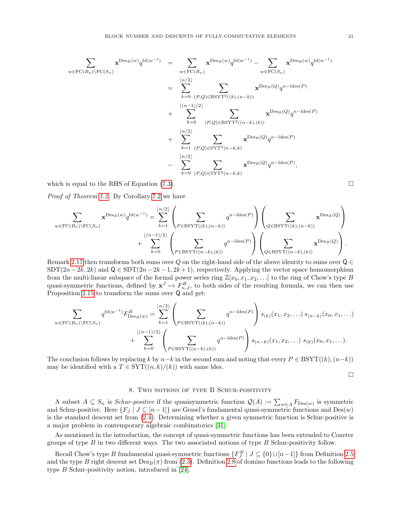$$
\sum_{w \in \text{FC}(B_n) \backslash \text{FC}(S_n)} \mathbf{x}^{\text{Des}_B(w)} q^{\text{bl}(w^{-1})} = \sum_{w \in \text{FC}(B_n)} \mathbf{x}^{\text{Des}_B(w)} q^{\text{bl}(w^{-1})} - \sum_{w \in \text{FC}(S_n)} \mathbf{x}^{\text{Des}_B(w)} q^{\text{bl}(w^{-1})}
$$
\n
$$
= \sum_{k=0}^{\lfloor n/2 \rfloor} \sum_{(P,Q) \in \text{BSYT}^2((k),(n-k))} \mathbf{x}^{\text{Des}_B(Q)} q^{n-\text{ldes}(P)}
$$
\n
$$
+ \sum_{k=0}^{\lfloor (n-1)/2 \rfloor} \sum_{(P,Q) \in \text{BSYT}^2((n-k),(k))} \mathbf{x}^{\text{Des}_B(Q)} q^{n-\text{ldes}(P)}
$$
\n
$$
+ \sum_{k=1}^{\lfloor n/2 \rfloor} \sum_{(P,Q) \in \text{SYT}^2(n-k,k)} \mathbf{x}^{\text{Des}_B(Q)} q^{n-\text{ldes}(P)}
$$
\n
$$
- \sum_{k=0}^{\lfloor n/2 \rfloor} \sum_{(P,Q) \in \text{SYT}^2(n-k,k)} \mathbf{x}^{\text{Des}_B(Q)} q^{n-\text{ldes}(P)},
$$

which is equal to the RHS of Equation [\(7.3\)](#page-19-0).  $\Box$ 

Proof of Theorem [1.2.](#page-1-1) By Corollary [7.2](#page-19-1) we have

$$
\sum_{w \in \mathrm{FC}(B_n) \backslash \mathrm{FC}(S_n)} \mathbf{x}^{\mathrm{Des}_B(w)} q^{\mathrm{bl}(w^{-1})} = \sum_{k=1}^{\lfloor n/2 \rfloor} \left( \sum_{P \in \mathrm{BSYT}((k),(n-k))} q^{n-\mathrm{ldes}(P)} \right) \left( \sum_{Q \in \mathrm{BSYT}((k),(n-k))} \mathbf{x}^{\mathrm{Des}_B(Q)} \right) + \sum_{k=0}^{\lfloor (n-1)/2 \rfloor} \left( \sum_{P \in \mathrm{BSYT}((n-k),(k))} q^{n-\mathrm{ldes}(P)} \right) \left( \sum_{Q \in \mathrm{BSYT}((n-k),(k))} \mathbf{x}^{\mathrm{Des}_B(Q)} \right).
$$

Remark [2.17](#page-7-3) then transforms both sums over Q on the right-hand side of the above identity to sums over  $Q \in$ SDT $(2n-2k, 2k)$  and  $\mathsf{Q} \in \text{SDT}(2n-2k-1, 2k+1)$ , respectively. Applying the vector space homomorphism from the multi-linear subspace of the formal power series ring  $\mathbb{Z}[x_0, x_1, x_2, \ldots]$  to the ring of Chow's type B quasi-symmetric functions, defined by  $x^J \mapsto F_{n,J}^B$ , to both sides of the resulting formula, we can then use Proposition [2.15](#page-6-0) to transform the sums over Q and get:

$$
\sum_{w \in \text{FC}(B_n) \backslash \text{FC}(S_n)} q^{\text{bl}(w^{-1})} F_{\text{Des}_B(w)}^B = \sum_{k=1}^{\lfloor n/2 \rfloor} \left( \sum_{P \in \text{BSYT}((k),(n-k))} q^{n-\text{ldes}(P)} \right) s_{(k)}(x_1, x_2, \ldots) s_{(n-k)}(x_0, x_1, \ldots)
$$
  
+ 
$$
\sum_{k=0}^{\lfloor (n-1)/2 \rfloor} \left( \sum_{P \in \text{BSYT}((n-k),(k))} q^{n-\text{ldes}(P)} \right) s_{(n-k)}(x_1, x_2, \ldots) s_{(k)}(x_0, x_1, \ldots).
$$

The conclusion follows by replacing k by  $n-k$  in the second sum and noting that every  $P \in \text{BSYT}((k), (n-k))$ may be identified with a  $T \in \text{SYT}((n, k)/(k))$  with same ldes.

$$
\Box
$$

#### 8. TWO NOTIONS OF TYPE B SCHUR-POSITIVITY

<span id="page-20-0"></span>A subset  $A \subseteq S_n$  is *Schur-positive* if the quasisymmetric function  $\mathcal{Q}(A) := \sum_{w \in A} F_{\text{Des}(w)}$  is symmetric and Schur-positive. Here  $\{F_J \mid J \subseteq [n-1]\}$  are Gessel's fundamental quasi-symmetric functions and  $Des(w)$ is the standard descent set from [\(2.4\)](#page-3-2). Determining whether a given symmetric function is Schur-positive is a major problem in contemporary algebraic combinatorics [\[31\]](#page-24-28).

As mentioned in the introduction, the concept of quasi-symmetric functions has been extended to Coxeter groups of type  $B$  in two different ways. The two associated notions of type  $B$  Schur-positivity follow.

Recall Chow's type B fundamental quasi-symmetric functions  $\{F_J^B \mid J \subseteq \{0\} \cup [n-1]\}$  from Definition [2.5](#page-4-1) and the type B right descent set  $\text{Des}_B(\pi)$  from [\(2.3\)](#page-3-3). Definition [2.8](#page-4-2) of domino functions leads to the following type B Schur-positivity notion, introduced in [\[24\]](#page-24-13).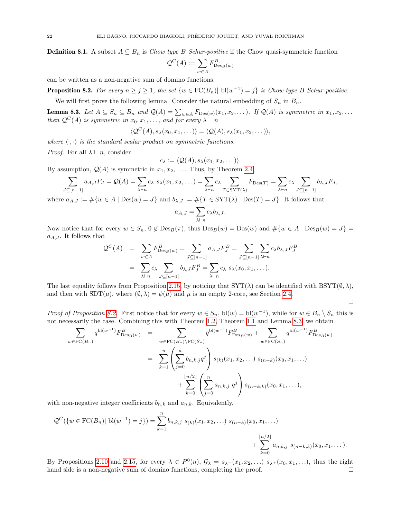**Definition 8.1.** A subset  $A \subseteq B_n$  is Chow type B Schur-positive if the Chow quasi-symmetric function

$$
\mathcal{Q}^C(A) := \sum_{w \in A} F^B_{\mathrm{Des}_B(w)}
$$

can be written as a non-negative sum of domino functions.

<span id="page-21-0"></span>**Proposition 8.2.** For every  $n \geq j \geq 1$ , the set  $\{w \in \text{FC}(B_n) | \text{bl}(w^{-1}) = j\}$  is Chow type B Schur-positive.

We will first prove the following lemma. Consider the natural embedding of  $S_n$  in  $B_n$ .

<span id="page-21-1"></span>**Lemma 8.3.** Let  $A \subseteq S_n \subseteq B_n$  and  $\mathcal{Q}(A) = \sum_{w \in A} F_{\text{Des}(w)}(x_1, x_2, \ldots)$ . If  $\mathcal{Q}(A)$  is symmetric in  $x_1, x_2, \ldots$ then  $\mathcal{Q}^C(A)$  is symmetric in  $x_0, x_1, \ldots$ , and for every  $\lambda \vdash n$ 

 $\langle \mathcal{Q}^C(A), s_\lambda(x_0, x_1, \ldots) \rangle = \langle \mathcal{Q}(A), s_\lambda(x_1, x_2, \ldots) \rangle,$ 

where  $\langle \cdot, \cdot \rangle$  is the standard scalar product on symmetric functions.

*Proof.* For all  $\lambda \vdash n$ , consider

$$
c_{\lambda} := \langle \mathcal{Q}(A), s_{\lambda}(x_1, x_2, \dots) \rangle.
$$

By assumption,  $\mathcal{Q}(A)$  is symmetric in  $x_1, x_2, \ldots$ . Thus, by Theorem [2.4,](#page-4-0)

$$
\sum_{J \subseteq [n-1]} a_{A,J} F_J = \mathcal{Q}(A) = \sum_{\lambda \vdash n} c_{\lambda} s_{\lambda}(x_1, x_2, \dots) = \sum_{\lambda \vdash n} c_{\lambda} \sum_{T \in \text{SYT}(\lambda)} F_{\text{Des}(T)} = \sum_{\lambda \vdash n} c_{\lambda} \sum_{J \subseteq [n-1]} b_{\lambda, J} F_J,
$$

where  $a_{A,J} := \#\{w \in A \mid \text{Des}(w) = J\}$  and  $b_{\lambda,J} := \#\{T \in \text{SYT}(\lambda) \mid \text{Des}(T) = J\}$ . It follows that

$$
a_{A,J} = \sum_{\lambda \vdash n} c_{\lambda} b_{\lambda,J}.
$$

Now notice that for every  $w \in S_n$ ,  $0 \notin \text{Des}_B(\pi)$ , thus  $\text{Des}_B(w) = \text{Des}(w)$  and  $\#\{w \in A \mid \text{Des}_B(w) = J\}$  $a_{A,J}$ . It follows that

$$
\mathcal{Q}^C(A) = \sum_{w \in A} F^B_{\text{Des}_B(w)} = \sum_{J \subseteq [n-1]} a_{A,J} F^B_J = \sum_{J \subseteq [n-1]} \sum_{\lambda \vdash n} c_{\lambda} b_{\lambda,J} F^B_J
$$

$$
= \sum_{\lambda \vdash n} c_{\lambda} \sum_{J \subseteq [n-1]} b_{\lambda,J} F^B_J = \sum_{\lambda \vdash n} c_{\lambda} s_{\lambda}(x_0, x_1, \dots).
$$

The last equality follows from Proposition [2.15,](#page-6-0) by noticing that  $SYT(\lambda)$  can be identified with  $BSYT(\emptyset, \lambda)$ , and then with  $SDT(\mu)$ , where  $(\emptyset, \lambda) = \psi(\mu)$  and  $\mu$  is an empty 2-core, see Section [2.4.](#page-6-1)

 $\Box$ 

*Proof of Proposition [8.2.](#page-21-0)* First notice that for every  $w \in S_n$ ,  $bl(w) = bl(w^{-1})$ , while for  $w \in B_n \setminus S_n$  this is not necessarily the case. Combining this with Theorem [1.2,](#page-1-1) Theorem [1.1](#page-1-0) and Lemma [8.3,](#page-21-1) we obtain

$$
\sum_{w \in \text{FC}(B_n)} q^{\text{bl}(w^{-1})} F_{\text{Des}_B(w)}^B = \sum_{w \in \text{FC}(B_n) \backslash \text{FC}(S_n)} q^{\text{bl}(w^{-1})} F_{\text{Des}_B(w)}^B + \sum_{w \in \text{FC}(S_n)} q^{\text{bl}(w^{-1})} F_{\text{Des}_B(w)}^B
$$
\n
$$
= \sum_{k=1}^n \left( \sum_{j=0}^n b_{n,k,j} q^j \right) s_{(k)}(x_1, x_2, \ldots) s_{(n-k)}(x_0, x_1, \ldots)
$$
\n
$$
+ \sum_{k=0}^{\lfloor n/2 \rfloor} \left( \sum_{j=0}^n a_{n,k,j} q^j \right) s_{(n-k,k)}(x_0, x_1, \ldots),
$$

with non-negative integer coefficients  $b_{n,k}$  and  $a_{n,k}$ . Equivalently,

$$
\mathcal{Q}^{C}(\{w \in \text{FC}(B_n) | bl(w^{-1}) = j\}) = \sum_{k=1}^{n} b_{n,k,j} s_{(k)}(x_1, x_2, \ldots) s_{(n-k)}(x_0, x_1, \ldots) + \sum_{k=0}^{\lfloor n/2 \rfloor} a_{n,k,j} s_{(n-k,k)}(x_0, x_1, \ldots).
$$

By Propositions [2.10](#page-5-1) and [2.15,](#page-6-0) for every  $\lambda \in P^0(n)$ ,  $\mathcal{G}_{\lambda} = s_{\lambda}-(x_1, x_2, \ldots) s_{\lambda}+(x_0, x_1, \ldots)$ , thus the right hand side is a non-negative sum of domino functions, completing the proof.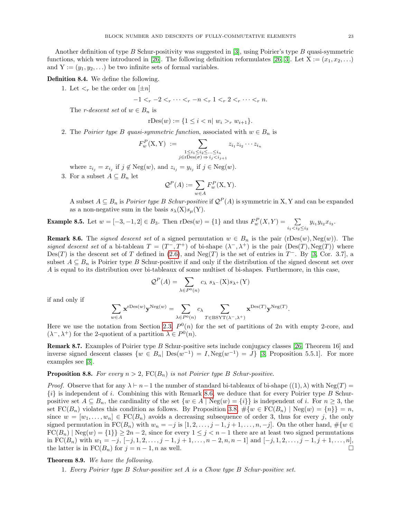Another definition of type B Schur-positivity was suggested in [\[3\]](#page-23-1), using Poirier's type B quasi-symmetric functions, which were introduced in [\[26\]](#page-24-11). The following definition reformulates [\[26,](#page-24-11) [3\]](#page-23-1). Let  $X := (x_1, x_2, \ldots)$ and  $Y := (y_1, y_2, \ldots)$  be two infinite sets of formal variables.

Definition 8.4. We define the following.

1. Let  $\lt_r$  be the order on  $[\pm n]$ 

 $-1 < r-2 < r \cdots < r-n < r 1 < r 2 < r \cdots < r n$ .

The *r*-descent set of  $w \in B_n$  is

rDes
$$
(w) := \{1 \leq i < n | w_i > r w_{i+1}\}.
$$

2. The Poirier type B quasi-symmetric function, associated with  $w \in B_n$  is

$$
F_w^P(X, Y) := \sum_{\substack{1 \le i_1 \le i_2 \le \dots \le i_n \\ j \in \text{rDes}(\sigma) \Rightarrow i_j < i_{j+1}}} z_{i_1} z_{i_2} \cdots z_{i_n}
$$

where  $z_{i_j} = x_{i_j}$  if  $j \notin \text{Neg}(w)$ , and  $z_{i_j} = y_{i_j}$  if  $j \in \text{Neg}(w)$ .

3. For a subset  $A \subseteq B_n$  let

$$
\mathcal{Q}^P(A) := \sum_{w \in A} F_w^P(\mathbf{X}, \mathbf{Y}).
$$

A subset  $A \subseteq B_n$  is *Poirier type B Schur-positive* if  $\mathcal{Q}^P(A)$  is symmetric in X, Y and can be expanded as a non-negative sum in the basis  $s_{\lambda}(X)s_{\mu}(Y)$ .

**Example 8.5.** Let  $w = [-3, -1, 2] \in B_3$ . Then  $r\text{Des}(w) = \{1\}$  and thus  $F_w^P(X, Y) = \sum_{i_1 \le i_2 \le i_3} y_{i_1} y_{i_2} x_{i_3}$ .

<span id="page-22-1"></span>**Remark 8.6.** The *signed descent set* of a signed permutation  $w \in B_n$  is the pair (rDes(w), Neg(w)). The signed descent set of a bi-tableau  $T = (T^-, T^+)$  of bi-shape  $(\lambda^-, \lambda^+)$  is the pair  $(Des(T), Neg(T))$  where Des(T) is the descent set of T defined in [\(2.6\)](#page-5-3), and Neg(T) is the set of entries in  $T^-$ . By [\[3,](#page-23-1) Cor. 3.7], a subset  $A \subseteq B_n$  is Poirier type B Schur-positive if and only if the distribution of the signed descent set over A is equal to its distribution over bi-tableaux of some multiset of bi-shapes. Furthermore, in this case,

$$
\mathcal{Q}^P(A) = \sum_{\lambda \in P^0(n)} c_{\lambda} s_{\lambda} - (X) s_{\lambda^+}(Y)
$$

if and only if

$$
\sum_{w \in A} \mathbf{x}^{\mathrm{rDes}(w)} \mathbf{y}^{\mathrm{Neg}(w)} = \sum_{\lambda \in P^0(n)} c_{\lambda} \sum_{T \in \mathrm{BSYT}(\lambda^{-}, \lambda^{+})} \mathbf{x}^{\mathrm{Des}(T)} \mathbf{y}^{\mathrm{Neg}(T)}.
$$

Here we use the notation from Section [2.3,](#page-3-4)  $P^{0}(n)$  for the set of partitions of 2n with empty 2-core, and  $(\lambda^-, \lambda^+)$  for the 2-quotient of a partition  $\lambda \in P^0(n)$ .

<span id="page-22-2"></span>Remark 8.7. Examples of Poirier type B Schur-positive sets include conjugacy classes [\[26,](#page-24-11) Theorem 16] and inverse signed descent classes  $\{w \in B_n | \operatorname{Des}(w^{-1}) = I, \operatorname{Neg}(w^{-1}) = J\}$  [\[3,](#page-23-1) Proposition 5.5.1]. For more examples see [\[3\]](#page-23-1).

## <span id="page-22-3"></span>**Proposition 8.8.** For every  $n > 2$ ,  $FC(B_n)$  is not Poirier type B Schur-positive.

*Proof.* Observe that for any  $\lambda \vdash n-1$  the number of standard bi-tableaux of bi-shape  $((1), \lambda)$  with Neg(T) =  $\{i\}$  is independent of i. Combining this with Remark [8.6,](#page-22-1) we deduce that for every Poirier type B Schurpositive set  $A \subseteq B_n$ , the cardinality of the set  $\{w \in A \mid \text{Neg}(w) = \{i\}\}$  is independent of i. For  $n \geq 3$ , the set  $FC(B_n)$  violates this condition as follows. By Proposition [3.8,](#page-9-1)  $\#\{w \in FC(B_n) \mid \text{Neg}(w) = \{n\}\} = n$ , since  $w = [w_1, \ldots, w_n] \in \mathrm{FC}(B_n)$  avoids a decreasing subsequence of order 3, thus for every j, the only signed permutation in  $FC(B_n)$  with  $w_n = -j$  is  $[1, 2, \ldots, j-1, j+1, \ldots, n, -j]$ . On the other hand,  $\#\{w \in$  $FC(B_n) | Neg(w) = \{1\} \geq 2n - 2$ , since for every  $1 \leq j \leq n - 1$  there are at least two signed permutations in FC( $B_n$ ) with  $w_1 = -j$ ,  $[-j, 1, 2, \ldots, j-1, j+1, \ldots, n-2, n, n-1]$  and  $[-j, 1, 2, \ldots, j-1, j+1, \ldots, n]$ , the latter is in  $FC(B_n)$  for  $j = n - 1, n$  as well.

# <span id="page-22-0"></span>Theorem 8.9. We have the following.

1. Every Poirier type B Schur-positive set A is a Chow type B Schur-positive set.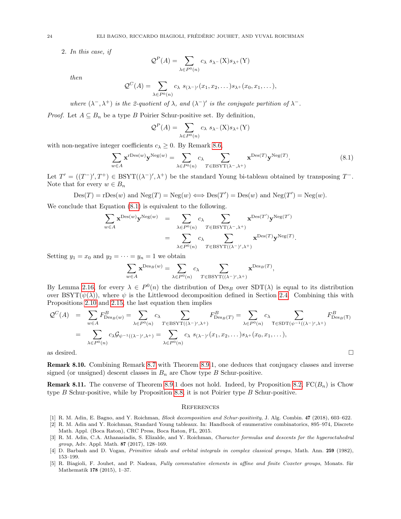2. In this case, if

$$
\mathcal{Q}^P(A) = \sum_{\lambda \in P^0(n)} c_{\lambda} s_{\lambda^{-}}(\mathbf{X}) s_{\lambda^{+}}(\mathbf{Y})
$$

then

$$
\mathcal{Q}^C(A) = \sum_{\lambda \in P^0(n)} c_{\lambda} s_{(\lambda-\prime)}(x_1, x_2, \dots) s_{\lambda+}(x_0, x_1, \dots),
$$

where  $(\lambda^-, \lambda^+)$  is the 2-quotient of  $\lambda$ , and  $(\lambda^-)'$  is the conjugate partition of  $\lambda^-$ .

*Proof.* Let  $A \subseteq B_n$  be a type B Poirier Schur-positive set. By definition,

$$
\mathcal{Q}^P(A) = \sum_{\lambda \in P^0(n)} c_{\lambda} s_{\lambda} - (X) s_{\lambda+}(Y)
$$

with non-negative integer coefficients  $c_{\lambda} \geq 0$ . By Remark [8.6,](#page-22-1)

<span id="page-23-6"></span>
$$
\sum_{w \in A} \mathbf{x}^{\text{rDes}(w)} \mathbf{y}^{\text{Neg}(w)} = \sum_{\lambda \in P^0(n)} c_{\lambda} \sum_{T \in \text{BSYT}(\lambda^-, \lambda^+)} \mathbf{x}^{\text{Des}(T)} \mathbf{y}^{\text{Neg}(T)}.
$$
(8.1)

Let  $T' = ((T^-)', T^+) \in BSYT((\lambda^-)', \lambda^+)$  be the standard Young bi-tableau obtained by transposing  $T^-$ . Note that for every  $w \in B_n$ 

 $\text{Des}(T) = \text{rDes}(w)$  and  $\text{Neg}(T) = \text{Neg}(w) \Longleftrightarrow \text{Des}(T') = \text{Des}(w)$  and  $\text{Neg}(T') = \text{Neg}(w)$ .

We conclude that Equation  $(8.1)$  is equivalent to the following.

$$
\sum_{w \in A} \mathbf{x}^{\mathrm{Des}(w)} \mathbf{y}^{\mathrm{Neg}(w)} = \sum_{\lambda \in P^0(n)} c_{\lambda} \sum_{T \in \mathrm{BSYT}(\lambda^-, \lambda^+)} \mathbf{x}^{\mathrm{Des}(T')} \mathbf{y}^{\mathrm{Neg}(T')} = \sum_{\lambda \in P^0(n)} c_{\lambda} \sum_{T \in \mathrm{BSYT}((\lambda^-)', \lambda^+)} \mathbf{x}^{\mathrm{Des}(T)} \mathbf{y}^{\mathrm{Neg}(T)}.
$$

Setting  $y_1 = x_0$  and  $y_2 = \cdots = y_n = 1$  we obtain

$$
\sum_{w \in A} \mathbf{x}^{\mathrm{Des}_B(w)} = \sum_{\lambda \in P^0(n)} c_{\lambda} \sum_{T \in \mathrm{BSYT}((\lambda^-)', \lambda^+) } \mathbf{x}^{\mathrm{Des}_B(T)},
$$

By Lemma [2.16,](#page-7-1) for every  $\lambda \in P^0(n)$  the distribution of Des<sub>B</sub> over SDT( $\lambda$ ) is equal to its distribution over BSYT( $\psi(\lambda)$ ), where  $\psi$  is the Littlewood decomposition defined in Section [2.4.](#page-6-1) Combining this with Propositions [2.10](#page-5-1) and [2.15,](#page-6-0) the last equation then implies

$$
\mathcal{Q}^{C}(A) = \sum_{w \in A} F_{\text{Des}_B(w)}^B = \sum_{\lambda \in P^0(n)} c_{\lambda} \sum_{T \in \text{BSYT}((\lambda^-)', \lambda^+)} F_{\text{Des}_B(T)}^B = \sum_{\lambda \in P^0(n)} c_{\lambda} \sum_{T \in \text{SDT}(\psi^{-1}((\lambda^-)', \lambda^+)} F_{\text{Des}_B(T)}^B
$$
  
= 
$$
\sum_{\lambda \in P^0(n)} c_{\lambda} \mathcal{G}_{\psi^{-1}((\lambda^-)', \lambda^+)} = \sum_{\lambda \in P^0(n)} c_{\lambda} s_{(\lambda^-)'}(x_1, x_2, \dots) s_{\lambda^+}(x_0, x_1, \dots),
$$
  
as desired.

Remark 8.10. Combining Remark [8.7](#page-22-2) with Theorem [8.9.](#page-22-0)1, one deduces that conjugacy classes and inverse signed (or unsigned) descent classes in  $B_n$  are Chow type B Schur-positive.

<span id="page-23-2"></span>**Remark 8.11.** The converse of Theorem [8.9.](#page-22-0)1 does not hold. Indeed, by Proposition [8.2,](#page-21-0)  $FC(B_n)$  is Chow type B Schur-positive, while by Proposition [8.8,](#page-22-3) it is not Poirier type B Schur-positive.

#### **REFERENCES**

- <span id="page-23-0"></span>[1] R. M. Adin, E. Bagno, and Y. Roichman, Block decomposition and Schur-positivity, J. Alg. Combin. 47 (2018), 603–622.
- <span id="page-23-3"></span>[2] R. M. Adin and Y. Roichman, Standard Young tableaux. In: Handbook of enumerative combinatorics, 895–974, Discrete Math. Appl. (Boca Raton), CRC Press, Boca Raton, FL, 2015.
- <span id="page-23-1"></span>[3] R. M. Adin, C.A. Athanasiadis, S. Elizalde, and Y. Roichman, Character formulas and descents for the hyperoctahedral group, Adv. Appl. Math. 87 (2017), 128–169.
- <span id="page-23-5"></span>[4] D. Barbash and D. Vogan, Primitive ideals and orbital integrals in complex classical groups, Math. Ann. 259 (1982), 153–199.
- <span id="page-23-4"></span>[5] R. Biagioli, F. Jouhet, and P. Nadeau, Fully commutative elements in affine and finite Coxeter groups, Monats. für Mathematik 178 (2015), 1–37.